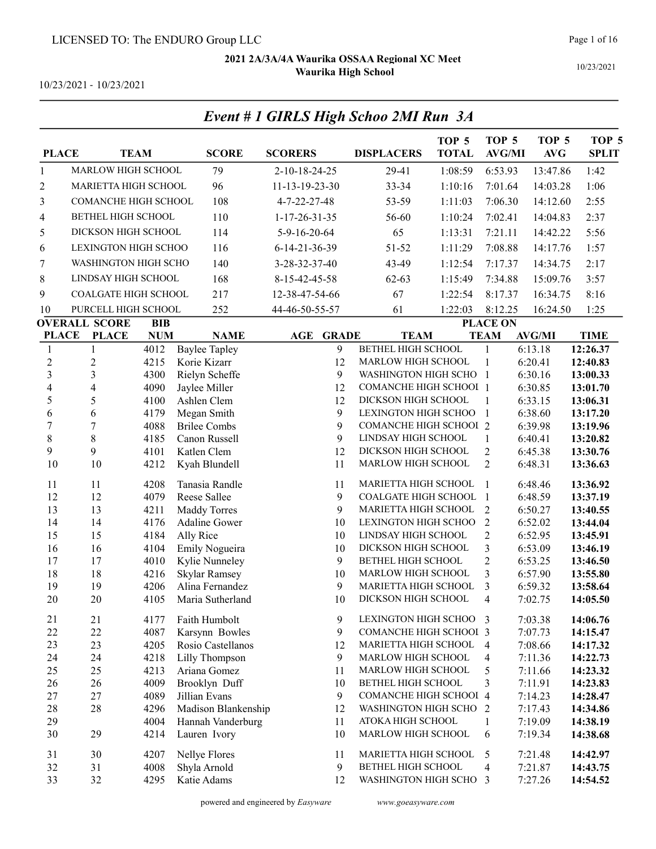Event # 1 GIRLS High Schoo 2MI Run 3A

10/23/2021

| <b>PLACE</b>   |                                             | <b>TEAM</b> | <b>SCORE</b>         | <b>SCORERS</b>          | <b>DISPLACERS</b>             | TOP <sub>5</sub><br><b>TOTAL</b> | TOP <sub>5</sub><br><b>AVG/MI</b> | TOP <sub>5</sub><br>AVG | TOP <sub>5</sub><br><b>SPLIT</b> |
|----------------|---------------------------------------------|-------------|----------------------|-------------------------|-------------------------------|----------------------------------|-----------------------------------|-------------------------|----------------------------------|
| $\mathbf{1}$   | MARLOW HIGH SCHOOL                          |             | 79                   | 2-10-18-24-25           | 29-41                         | 1:08:59                          | 6:53.93                           | 13:47.86                | 1:42                             |
| $\overline{c}$ | <b>MARIETTA HIGH SCHOOL</b>                 |             | 96                   | 11-13-19-23-30          | 33-34                         | 1:10:16                          | 7:01.64                           | 14:03.28                | 1:06                             |
| 3              | <b>COMANCHE HIGH SCHOOL</b>                 |             | 108                  | 4-7-22-27-48            | 53-59                         | 1:11:03                          | 7:06.30                           | 14:12.60                | 2:55                             |
| 4              | BETHEL HIGH SCHOOL                          |             | 110                  | $1 - 17 - 26 - 31 - 35$ | 56-60                         | 1:10:24                          | 7:02.41                           | 14:04.83                | 2:37                             |
| 5              | DICKSON HIGH SCHOOL                         |             | 114                  | 5-9-16-20-64            | 65                            | 1:13:31                          | 7:21.11                           | 14:42.22                | 5:56                             |
| 6              | LEXINGTON HIGH SCHOO                        |             | 116                  | 6-14-21-36-39           | 51-52                         | 1:11:29                          | 7:08.88                           | 14:17.76                | 1:57                             |
| 7              | WASHINGTON HIGH SCHO                        |             | 140                  | 3-28-32-37-40           | 43-49                         | 1:12:54                          | 7:17.37                           | 14:34.75                | 2:17                             |
| 8              | LINDSAY HIGH SCHOOL                         |             | 168                  | 8-15-42-45-58           | $62 - 63$                     | 1:15:49                          | 7:34.88                           | 15:09.76                | 3:57                             |
| 9              | <b>COALGATE HIGH SCHOOL</b>                 |             | 217                  | 12-38-47-54-66          | 67                            | 1:22:54                          | 8:17.37                           | 16:34.75                | 8:16                             |
|                |                                             |             |                      |                         |                               |                                  |                                   |                         |                                  |
| 10             | PURCELL HIGH SCHOOL<br><b>OVERALL SCORE</b> | <b>BIB</b>  | 252                  | 44-46-50-55-57          | 61                            | 1:22:03                          | 8:12.25<br><b>PLACE ON</b>        | 16:24.50                | 1:25                             |
| <b>PLACE</b>   | <b>PLACE</b>                                | <b>NUM</b>  | <b>NAME</b>          | AGE<br><b>GRADE</b>     | <b>TEAM</b>                   |                                  | <b>TEAM</b>                       | <b>AVG/MI</b>           | <b>TIME</b>                      |
| $\mathbf{1}$   | $\mathbf{1}$                                | 4012        | <b>Baylee Tapley</b> | 9                       | <b>BETHEL HIGH SCHOOL</b>     |                                  | 1                                 | 6:13.18                 | 12:26.37                         |
| $\overline{2}$ | $\sqrt{2}$                                  | 4215        | Korie Kizarr         | 12                      | MARLOW HIGH SCHOOL            |                                  | 1                                 | 6:20.41                 | 12:40.83                         |
| 3              | 3                                           | 4300        | Rielyn Scheffe       | 9                       | WASHINGTON HIGH SCHO 1        |                                  |                                   | 6:30.16                 | 13:00.33                         |
| 4              | $\overline{\mathbf{4}}$                     | 4090        | Jaylee Miller        | 12                      | <b>COMANCHE HIGH SCHOOI 1</b> |                                  |                                   | 6:30.85                 | 13:01.70                         |
| 5              | 5                                           | 4100        | Ashlen Clem          | 12                      | DICKSON HIGH SCHOOL           |                                  | 1                                 | 6:33.15                 | 13:06.31                         |
| 6              | 6                                           | 4179        | Megan Smith          | 9                       | LEXINGTON HIGH SCHOO          |                                  | $\overline{1}$                    | 6:38.60                 | 13:17.20                         |
| $\tau$         | 7                                           | 4088        | <b>Brilee Combs</b>  | 9                       | <b>COMANCHE HIGH SCHOOL 2</b> |                                  |                                   | 6:39.98                 | 13:19.96                         |
| 8              | $8\,$                                       | 4185        | Canon Russell        | 9                       | LINDSAY HIGH SCHOOL           |                                  | $\mathbf{1}$                      | 6:40.41                 | 13:20.82                         |
| 9              | 9                                           | 4101        | Katlen Clem          | 12                      | DICKSON HIGH SCHOOL           |                                  | $\boldsymbol{2}$                  | 6:45.38                 | 13:30.76                         |
| 10             | 10                                          | 4212        | Kyah Blundell        | 11                      | MARLOW HIGH SCHOOL            |                                  | $\overline{2}$                    | 6:48.31                 | 13:36.63                         |
| 11             | 11                                          | 4208        | Tanasia Randle       | 11                      | MARIETTA HIGH SCHOOL          |                                  | $\mathbf{1}$                      | 6:48.46                 | 13:36.92                         |
| 12             | 12                                          | 4079        | Reese Sallee         | 9                       | COALGATE HIGH SCHOOL          |                                  | $\mathbf{1}$                      | 6:48.59                 | 13:37.19                         |
| 13             | 13                                          | 4211        | <b>Maddy Torres</b>  | 9                       | MARIETTA HIGH SCHOOL          |                                  | 2                                 | 6:50.27                 | 13:40.55                         |
| 14             | 14                                          | 4176        | Adaline Gower        | 10                      | LEXINGTON HIGH SCHOO          |                                  | $\overline{2}$                    | 6:52.02                 | 13:44.04                         |
| 15             | 15                                          | 4184        | Ally Rice            | 10                      | LINDSAY HIGH SCHOOL           |                                  | $\overline{2}$                    | 6:52.95                 | 13:45.91                         |
| 16             | 16                                          | 4104        | Emily Nogueira       | 10                      | DICKSON HIGH SCHOOL           |                                  | 3                                 | 6:53.09                 | 13:46.19                         |
| 17             | 17                                          | 4010        | Kylie Nunneley       | 9                       | BETHEL HIGH SCHOOL            |                                  | $\overline{2}$                    | 6:53.25                 | 13:46.50                         |
| 18             | 18                                          | 4216        | Skylar Ramsey        | 10                      | MARLOW HIGH SCHOOL            |                                  | 3                                 | 6:57.90                 | 13:55.80                         |
| 19             | 19                                          | 4206        | Alina Fernandez      | 9                       | MARIETTA HIGH SCHOOL          |                                  | 3                                 | 6:59.32                 | 13:58.64                         |
| 20             | 20                                          | 4105        | Maria Sutherland     | 10                      | DICKSON HIGH SCHOOL           |                                  | 4                                 | 7:02.75                 | 14:05.50                         |
| 21             | 21                                          | 4177        | Faith Humbolt        | 9                       | LEXINGTON HIGH SCHOO 3        |                                  |                                   | 7:03.38                 | 14:06.76                         |
| 22             | 22                                          | 4087        | Karsynn Bowles       | 9                       | <b>COMANCHE HIGH SCHOOI 3</b> |                                  |                                   | 7:07.73                 | 14:15.47                         |
| 23             | 23                                          | 4205        | Rosio Castellanos    | 12                      | MARIETTA HIGH SCHOOL          |                                  | $\overline{4}$                    | 7:08.66                 | 14:17.32                         |
| 24             | 24                                          | 4218        | Lilly Thompson       | 9                       | MARLOW HIGH SCHOOL            |                                  | 4                                 | 7:11.36                 | 14:22.73                         |
| 25             | 25                                          | 4213        | Ariana Gomez         | 11                      | MARLOW HIGH SCHOOL            |                                  | 5                                 | 7:11.66                 | 14:23.32                         |
| 26             | 26                                          | 4009        | Brooklyn Duff        | 10                      | BETHEL HIGH SCHOOL            |                                  | 3                                 | 7:11.91                 | 14:23.83                         |
| 27             | 27                                          | 4089        | Jillian Evans        | 9                       | <b>COMANCHE HIGH SCHOOI 4</b> |                                  |                                   | 7:14.23                 | 14:28.47                         |
| 28             | 28                                          | 4296        | Madison Blankenship  | 12                      | WASHINGTON HIGH SCHO 2        |                                  |                                   | 7:17.43                 | 14:34.86                         |
| 29             |                                             | 4004        | Hannah Vanderburg    | 11                      | ATOKA HIGH SCHOOL             |                                  | 1                                 | 7:19.09                 | 14:38.19                         |
| 30             | 29                                          | 4214        | Lauren Ivory         | 10                      | MARLOW HIGH SCHOOL            |                                  | 6                                 | 7:19.34                 | 14:38.68                         |
| 31             | 30                                          | 4207        | Nellye Flores        | 11                      | MARIETTA HIGH SCHOOL          |                                  | 5                                 | 7:21.48                 | 14:42.97                         |
| 32             | 31                                          | 4008        | Shyla Arnold         | 9                       | BETHEL HIGH SCHOOL            |                                  | $\overline{4}$                    | 7:21.87                 | 14:43.75                         |
| 33             | 32                                          | 4295        | Katie Adams          | 12                      | WASHINGTON HIGH SCHO 3        |                                  |                                   | 7:27.26                 | 14:54.52                         |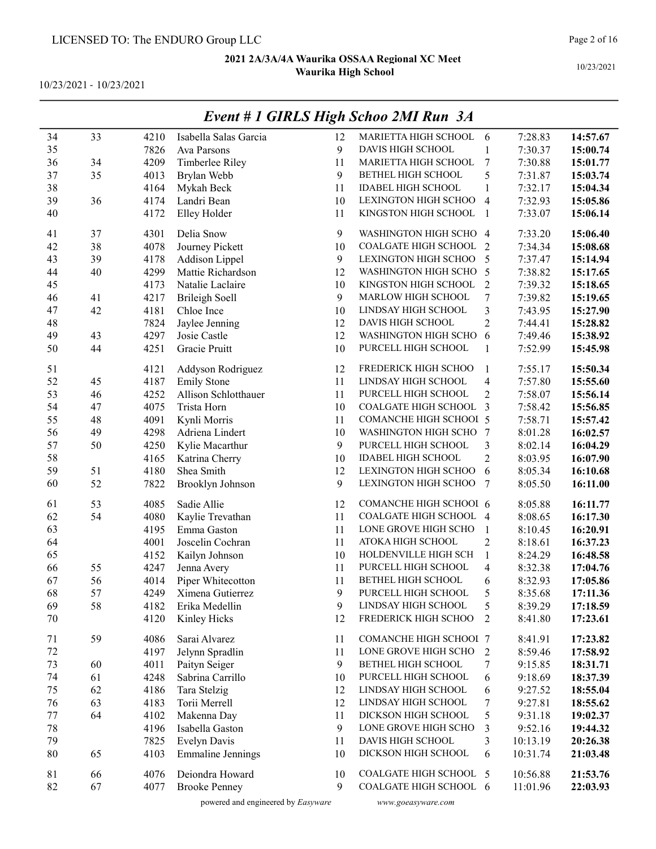10/23/2021 - 10/23/2021

| 34      | 33 | 4210 | Isabella Salas Garcia            | 12       | MARIETTA HIGH SCHOOL                        | 6                   | 7:28.83  | 14:57.67 |
|---------|----|------|----------------------------------|----------|---------------------------------------------|---------------------|----------|----------|
| 35      |    | 7826 | Ava Parsons                      | 9        | DAVIS HIGH SCHOOL                           | $\mathbf{1}$        | 7:30.37  | 15:00.74 |
| 36      | 34 | 4209 | Timberlee Riley                  | 11       | MARIETTA HIGH SCHOOL                        | 7                   | 7:30.88  | 15:01.77 |
| 37      | 35 | 4013 | Brylan Webb                      | 9        | BETHEL HIGH SCHOOL                          | 5                   | 7:31.87  | 15:03.74 |
| 38      |    | 4164 | Mykah Beck                       | 11       | <b>IDABEL HIGH SCHOOL</b>                   | $\mathbf{1}$        | 7:32.17  | 15:04.34 |
| 39      | 36 | 4174 | Landri Bean                      | 10       | LEXINGTON HIGH SCHOO                        | $\overline{4}$      | 7:32.93  | 15:05.86 |
| 40      |    | 4172 | Elley Holder                     | 11       | KINGSTON HIGH SCHOOL                        | $\overline{1}$      | 7:33.07  | 15:06.14 |
|         |    |      |                                  |          |                                             |                     |          |          |
| 41      | 37 | 4301 | Delia Snow                       | 9        | WASHINGTON HIGH SCHO 4                      |                     | 7:33.20  | 15:06.40 |
| 42      | 38 | 4078 | Journey Pickett                  | 10       | COALGATE HIGH SCHOOL                        | 2                   | 7:34.34  | 15:08.68 |
| 43      | 39 | 4178 | Addison Lippel                   | 9        | LEXINGTON HIGH SCHOO                        | 5                   | 7:37.47  | 15:14.94 |
| 44      | 40 | 4299 | Mattie Richardson                | 12       | WASHINGTON HIGH SCHO                        | $\overline{5}$      | 7:38.82  | 15:17.65 |
| 45      |    | 4173 | Natalie Laclaire                 | 10       | KINGSTON HIGH SCHOOL                        | $\overline{2}$      | 7:39.32  | 15:18.65 |
| 46      | 41 | 4217 | <b>Brileigh Soell</b>            | 9        | MARLOW HIGH SCHOOL                          | 7                   | 7:39.82  | 15:19.65 |
| 47      | 42 | 4181 | Chloe Ince                       | 10       | LINDSAY HIGH SCHOOL                         | 3                   | 7:43.95  | 15:27.90 |
| 48      |    | 7824 | Jaylee Jenning                   | 12       | DAVIS HIGH SCHOOL                           | $\overline{c}$      | 7:44.41  | 15:28.82 |
| 49      | 43 | 4297 | Josie Castle                     | 12       | WASHINGTON HIGH SCHO                        | 6                   | 7:49.46  | 15:38.92 |
| 50      | 44 | 4251 | Gracie Pruitt                    | 10       | PURCELL HIGH SCHOOL                         | $\mathbf{1}$        | 7:52.99  | 15:45.98 |
| 51      |    | 4121 | Addyson Rodriguez                | 12       | FREDERICK HIGH SCHOO                        | 1                   | 7:55.17  | 15:50.34 |
| 52      | 45 | 4187 | <b>Emily Stone</b>               | 11       | LINDSAY HIGH SCHOOL                         | $\overline{4}$      | 7:57.80  | 15:55.60 |
| 53      | 46 | 4252 | Allison Schlotthauer             | 11       | PURCELL HIGH SCHOOL                         | $\overline{c}$      | 7:58.07  | 15:56.14 |
| 54      | 47 | 4075 | Trista Horn                      | 10       | COALGATE HIGH SCHOOL                        | 3                   | 7:58.42  | 15:56.85 |
| 55      | 48 | 4091 | Kynli Morris                     | 11       | <b>COMANCHE HIGH SCHOOI 5</b>               |                     | 7:58.71  | 15:57.42 |
| 56      | 49 | 4298 | Adriena Lindert                  | 10       | WASHINGTON HIGH SCHO 7                      |                     | 8:01.28  | 16:02.57 |
| 57      | 50 | 4250 | Kylie Macarthur                  | 9        | PURCELL HIGH SCHOOL                         | 3                   | 8:02.14  | 16:04.29 |
| 58      |    | 4165 | Katrina Cherry                   | 10       | <b>IDABEL HIGH SCHOOL</b>                   | $\mathbf{2}$        | 8:03.95  | 16:07.90 |
| 59      | 51 | 4180 | Shea Smith                       | 12       | LEXINGTON HIGH SCHOO                        | 6                   | 8:05.34  | 16:10.68 |
| 60      | 52 | 7822 | Brooklyn Johnson                 | 9        | LEXINGTON HIGH SCHOO                        | 7                   | 8:05.50  | 16:11.00 |
|         |    |      |                                  |          |                                             |                     |          |          |
| 61      | 53 | 4085 | Sadie Allie                      | 12       | COMANCHE HIGH SCHOOI 6                      |                     | 8:05.88  | 16:11.77 |
| 62      | 54 | 4080 | Kaylie Trevathan                 | 11       | COALGATE HIGH SCHOOL 4                      |                     | 8:08.65  | 16:17.30 |
| 63      |    | 4195 | Emma Gaston                      | 11       | LONE GROVE HIGH SCHO                        | 1                   | 8:10.45  | 16:20.91 |
| 64      |    | 4001 | Joscelin Cochran                 | 11       | ATOKA HIGH SCHOOL                           | $\overline{c}$      | 8:18.61  | 16:37.23 |
| 65      |    | 4152 | Kailyn Johnson                   | 10       | HOLDENVILLE HIGH SCH                        | $\mathbf{1}$        | 8:24.29  | 16:48.58 |
| 66      | 55 | 4247 | Jenna Avery                      | 11       | PURCELL HIGH SCHOOL                         | 4                   | 8:32.38  | 17:04.76 |
| 67      | 56 | 4014 | Piper Whitecotton                | 11       | BETHEL HIGH SCHOOL                          | 6                   | 8:32.93  | 17:05.86 |
| 68      | 57 | 4249 | Ximena Gutierrez                 | 9        | PURCELL HIGH SCHOOL                         | 5                   | 8:35.68  | 17:11.36 |
| 69      | 58 | 4182 | Erika Medellin                   | 9        | LINDSAY HIGH SCHOOL                         | 5                   | 8:39.29  | 17:18.59 |
| 70      |    | 4120 | Kinley Hicks                     | 12       | FREDERICK HIGH SCHOO                        | $\overline{2}$      | 8:41.80  | 17:23.61 |
| 71      | 59 | 4086 | Sarai Alvarez                    | 11       | COMANCHE HIGH SCHOOI 7                      |                     | 8:41.91  | 17:23.82 |
| $72\,$  |    | 4197 |                                  | 11       | LONE GROVE HIGH SCHO                        |                     | 8:59.46  |          |
| 73      | 60 |      | Jelynn Spradlin<br>Paityn Seiger | 9        | BETHEL HIGH SCHOOL                          | $\overline{c}$<br>7 | 9:15.85  | 17:58.92 |
| 74      | 61 | 4011 | Sabrina Carrillo                 |          | PURCELL HIGH SCHOOL                         |                     | 9:18.69  | 18:31.71 |
|         |    | 4248 |                                  | 10       | LINDSAY HIGH SCHOOL                         | 6                   |          | 18:37.39 |
| 75      | 62 | 4186 | Tara Stelzig                     | 12<br>12 | LINDSAY HIGH SCHOOL                         | 6                   | 9:27.52  | 18:55.04 |
| 76      | 63 | 4183 | Torii Merrell                    |          |                                             | 7                   | 9:27.81  | 18:55.62 |
| $77 \,$ | 64 | 4102 | Makenna Day                      | 11       | DICKSON HIGH SCHOOL<br>LONE GROVE HIGH SCHO | 5                   | 9:31.18  | 19:02.37 |
| $78\,$  |    | 4196 | Isabella Gaston                  | 9        |                                             | 3                   | 9:52.16  | 19:44.32 |
| 79      |    | 7825 | Evelyn Davis                     | 11       | DAVIS HIGH SCHOOL                           | 3                   | 10:13.19 | 20:26.38 |
| $80\,$  | 65 | 4103 | <b>Emmaline Jennings</b>         | 10       | DICKSON HIGH SCHOOL                         | 6                   | 10:31.74 | 21:03.48 |
| 81      | 66 | 4076 | Deiondra Howard                  | 10       | COALGATE HIGH SCHOOL 5                      |                     | 10:56.88 | 21:53.76 |
| 82      | 67 | 4077 | <b>Brooke Penney</b>             | 9        | COALGATE HIGH SCHOOL 6                      |                     | 11:01.96 | 22:03.93 |
|         |    |      |                                  |          |                                             |                     |          |          |

### Event # 1 GIRLS High Schoo 2MI Run 3A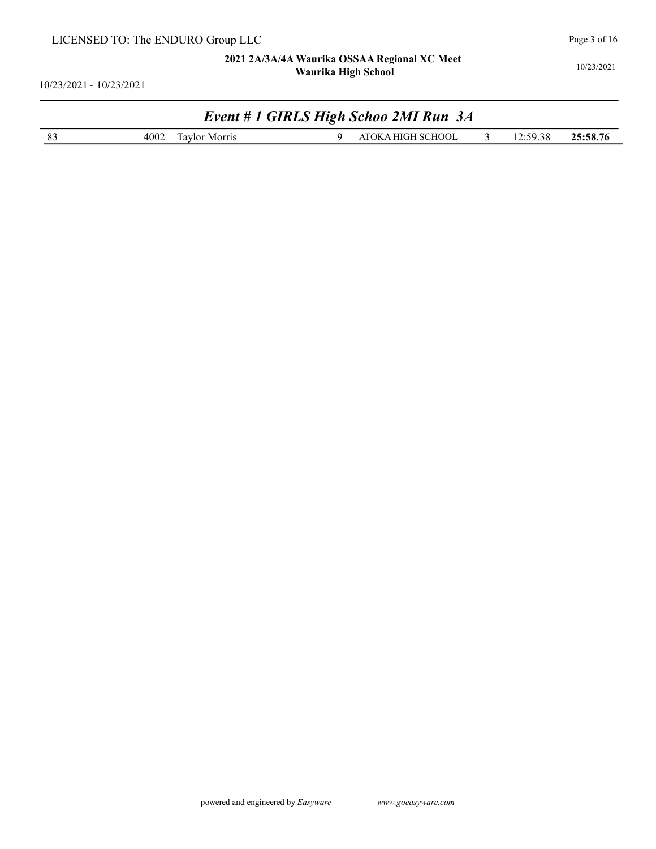10/23/2021 - 10/23/2021

# Event # 1 GIRLS High Schoo 2MI Run 3A

| . 70<br>. w<br>,,<br>.эө.<br>.00<br>ıa۱<br>. | $\sim$ | -<br>4002<br>Morris<br>011 | <b>SCHOOL</b><br>שנ |  | $-\sim$ $-\sim$ | $\sim$ $\sim$ $\sim$<br>$\sim$ $\sim$ |
|----------------------------------------------|--------|----------------------------|---------------------|--|-----------------|---------------------------------------|
|----------------------------------------------|--------|----------------------------|---------------------|--|-----------------|---------------------------------------|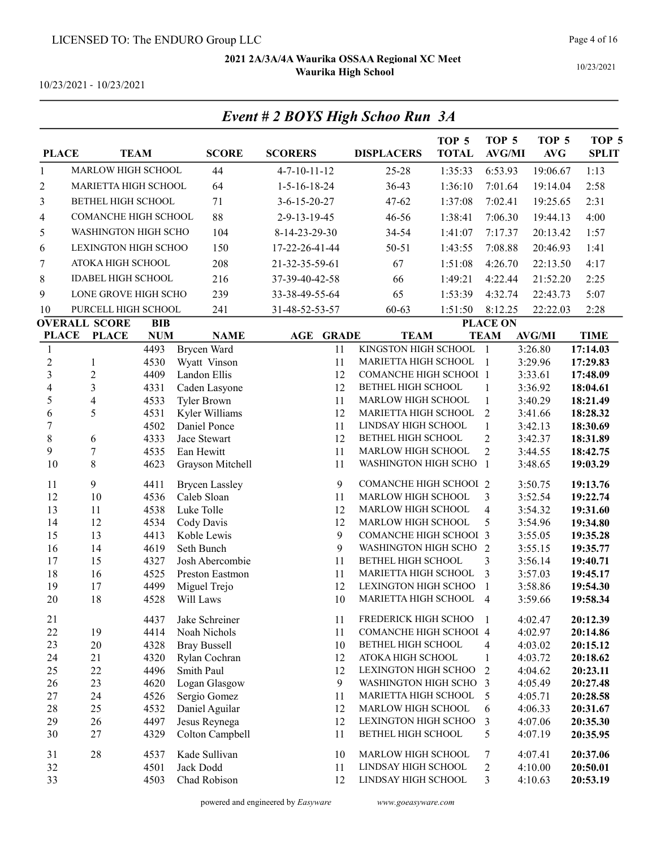Event # 2 BOYS High Schoo Run 3A

10/23/2021 - 10/23/2021

| <b>PLACE</b>             |                           | <b>TEAM</b>  | <b>SCORE</b>                 | <b>SCORERS</b>         | <b>DISPLACERS</b>                        | TOP <sub>5</sub><br><b>TOTAL</b> | TOP 5<br><b>AVG/MI</b>           | TOP <sub>5</sub><br>$\mathbf{AVG}$ | TOP <sub>5</sub><br><b>SPLIT</b> |
|--------------------------|---------------------------|--------------|------------------------------|------------------------|------------------------------------------|----------------------------------|----------------------------------|------------------------------------|----------------------------------|
| $\mathbf{1}$             | MARLOW HIGH SCHOOL        |              | 44                           | $4 - 7 - 10 - 11 - 12$ | 25-28                                    | 1:35:33                          | 6:53.93                          | 19:06.67                           | 1:13                             |
| 2                        | MARIETTA HIGH SCHOOL      |              | 64                           | $1 - 5 - 16 - 18 - 24$ | 36-43                                    | 1:36:10                          | 7:01.64                          | 19:14.04                           | 2:58                             |
| 3                        | BETHEL HIGH SCHOOL        |              | 71                           | $3 - 6 - 15 - 20 - 27$ | $47 - 62$                                | 1:37:08                          | 7:02.41                          | 19:25.65                           | 2:31                             |
| $\overline{\mathcal{A}}$ | COMANCHE HIGH SCHOOL      |              | 88                           | 2-9-13-19-45           | 46-56                                    | 1:38:41                          | 7:06.30                          | 19:44.13                           | 4:00                             |
| 5                        | WASHINGTON HIGH SCHO      |              | 104                          | 8-14-23-29-30          | 34-54                                    | 1:41:07                          | 7:17.37                          | 20:13.42                           | 1:57                             |
| 6                        | LEXINGTON HIGH SCHOO      |              | 150                          | 17-22-26-41-44         | $50 - 51$                                | 1:43:55                          | 7:08.88                          | 20:46.93                           | 1:41                             |
| 7                        | ATOKA HIGH SCHOOL         |              | 208                          | 21-32-35-59-61         | 67                                       | 1:51:08                          | 4:26.70                          | 22:13.50                           | 4:17                             |
| 8                        | <b>IDABEL HIGH SCHOOL</b> |              | 216                          | 37-39-40-42-58         | 66                                       | 1:49:21                          | 4:22.44                          | 21:52.20                           | 2:25                             |
| 9                        | LONE GROVE HIGH SCHO      |              | 239                          | 33-38-49-55-64         | 65                                       | 1:53:39                          | 4:32.74                          | 22:43.73                           | 5:07                             |
| 10                       | PURCELL HIGH SCHOOL       |              | 241                          | 31-48-52-53-57         | $60 - 63$                                | 1:51:50                          | 8:12.25                          | 22:22.03                           | 2:28                             |
|                          | <b>OVERALL SCORE</b>      | <b>BIB</b>   |                              |                        |                                          |                                  | <b>PLACE ON</b>                  |                                    |                                  |
| <b>PLACE</b>             | <b>PLACE</b>              | <b>NUM</b>   | <b>NAME</b>                  | AGE<br><b>GRADE</b>    | <b>TEAM</b>                              |                                  | <b>TEAM</b>                      | <b>AVG/MI</b>                      | <b>TIME</b>                      |
| 1                        |                           | 4493         | Brycen Ward                  | 11                     | KINGSTON HIGH SCHOOL                     |                                  | $\mathbf{1}$                     | 3:26.80                            | 17:14.03                         |
| $\overline{\mathbf{c}}$  | 1                         | 4530         | Wyatt Vinson                 | 11                     | MARIETTA HIGH SCHOOL                     |                                  | -1                               | 3:29.96                            | 17:29.83                         |
| $\overline{\mathbf{3}}$  | $\overline{c}$            | 4409         | Landon Ellis                 | 12                     | <b>COMANCHE HIGH SCHOOI 1</b>            |                                  |                                  | 3:33.61                            | 17:48.09                         |
| $\overline{\mathcal{A}}$ | 3                         | 4331         | Caden Lasyone                | 12                     | BETHEL HIGH SCHOOL                       |                                  | 1                                | 3:36.92                            | 18:04.61                         |
| 5                        | 4                         | 4533         | <b>Tyler Brown</b>           | 11                     | MARLOW HIGH SCHOOL                       |                                  | $\mathbf{1}$                     | 3:40.29                            | 18:21.49                         |
| 6                        | 5                         | 4531         | Kyler Williams               | 12                     | MARIETTA HIGH SCHOOL                     |                                  | $\overline{2}$                   | 3:41.66                            | 18:28.32                         |
| $\overline{7}$           |                           | 4502         | Daniel Ponce<br>Jace Stewart | 11                     | LINDSAY HIGH SCHOOL                      |                                  | $\mathbf{1}$                     | 3:42.13                            | 18:30.69                         |
| 8<br>9                   | 6<br>$\overline{7}$       | 4333<br>4535 | Ean Hewitt                   | 12<br>11               | BETHEL HIGH SCHOOL<br>MARLOW HIGH SCHOOL |                                  | $\overline{2}$<br>$\overline{2}$ | 3:42.37<br>3:44.55                 | 18:31.89<br>18:42.75             |
| 10                       | 8                         | 4623         | Grayson Mitchell             | 11                     | WASHINGTON HIGH SCHO 1                   |                                  |                                  | 3:48.65                            | 19:03.29                         |
| 11                       | 9                         | 4411         | <b>Brycen Lassley</b>        | 9                      | <b>COMANCHE HIGH SCHOOI 2</b>            |                                  |                                  | 3:50.75                            | 19:13.76                         |
| 12                       | 10                        | 4536         | Caleb Sloan                  | 11                     | MARLOW HIGH SCHOOL                       |                                  | 3                                | 3:52.54                            | 19:22.74                         |
| 13                       | 11                        | 4538         | Luke Tolle                   | 12                     | MARLOW HIGH SCHOOL                       |                                  | $\overline{\mathbf{4}}$          | 3:54.32                            | 19:31.60                         |
| 14                       | 12                        | 4534         | Cody Davis                   | 12                     | MARLOW HIGH SCHOOL                       |                                  | 5                                | 3:54.96                            | 19:34.80                         |
| 15                       | 13                        | 4413         | Koble Lewis                  | 9                      | <b>COMANCHE HIGH SCHOOI 3</b>            |                                  |                                  | 3:55.05                            | 19:35.28                         |
| 16                       | 14                        | 4619         | Seth Bunch                   | 9                      | WASHINGTON HIGH SCHO                     |                                  | 2                                | 3:55.15                            | 19:35.77                         |
| 17                       | 15                        | 4327         | Josh Abercombie              | 11                     | BETHEL HIGH SCHOOL                       |                                  | 3                                | 3:56.14                            | 19:40.71                         |
| 18                       | 16                        | 4525         | Preston Eastmon              | 11                     | MARIETTA HIGH SCHOOL                     |                                  | 3                                | 3:57.03                            | 19:45.17                         |
| 19                       | 17                        | 4499         | Miguel Trejo                 | 12                     | LEXINGTON HIGH SCHOO                     |                                  | $\mathbf{1}$                     | 3:58.86                            | 19:54.30                         |
| 20                       | 18                        | 4528         | Will Laws                    | 10                     | MARIETTA HIGH SCHOOL                     |                                  | $\overline{4}$                   | 3:59.66                            | 19:58.34                         |
| 21                       |                           | 4437         | Jake Schreiner               | 11                     | FREDERICK HIGH SCHOO                     |                                  | -1                               | 4:02.47                            | 20:12.39                         |
| 22                       | 19                        | 4414         | Noah Nichols                 | 11                     | <b>COMANCHE HIGH SCHOOI 4</b>            |                                  |                                  | 4:02.97                            | 20:14.86                         |
| 23                       | 20                        | 4328         | <b>Bray Bussell</b>          | 10                     | BETHEL HIGH SCHOOL                       |                                  | 4                                | 4:03.02                            | 20:15.12                         |
| 24                       | 21                        | 4320         | Rylan Cochran                | 12                     | ATOKA HIGH SCHOOL                        |                                  | $\mathbf{1}$                     | 4:03.72                            | 20:18.62                         |
| 25                       | 22                        | 4496         | Smith Paul                   | 12                     | LEXINGTON HIGH SCHOO                     |                                  | 2                                | 4:04.62                            | 20:23.11                         |
| 26                       | 23                        | 4620         | Logan Glasgow                | 9                      | WASHINGTON HIGH SCHO 3                   |                                  |                                  | 4:05.49                            | 20:27.48                         |
| 27                       | 24                        | 4526         | Sergio Gomez                 | 11                     | MARIETTA HIGH SCHOOL                     |                                  | 5                                | 4:05.71                            | 20:28.58                         |
| 28                       | 25                        | 4532         | Daniel Aguilar               | 12                     | MARLOW HIGH SCHOOL                       |                                  | 6                                | 4:06.33                            | 20:31.67                         |
| 29                       | 26                        | 4497         | Jesus Reynega                | 12                     | LEXINGTON HIGH SCHOO                     |                                  | 3                                | 4:07.06                            | 20:35.30                         |
| 30                       | 27                        | 4329         | Colton Campbell              | 11                     | BETHEL HIGH SCHOOL                       |                                  | 5                                | 4:07.19                            | 20:35.95                         |
| 31                       | $28\,$                    | 4537         | Kade Sullivan                | 10                     | MARLOW HIGH SCHOOL                       |                                  | 7                                | 4:07.41                            | 20:37.06                         |
| 32                       |                           | 4501         | Jack Dodd                    | 11                     | LINDSAY HIGH SCHOOL                      |                                  | $\overline{2}$                   | 4:10.00                            | 20:50.01                         |
| 33                       |                           | 4503         | Chad Robison                 | 12                     | LINDSAY HIGH SCHOOL                      |                                  | 3                                | 4:10.63                            | 20:53.19                         |

# Page 4 of 16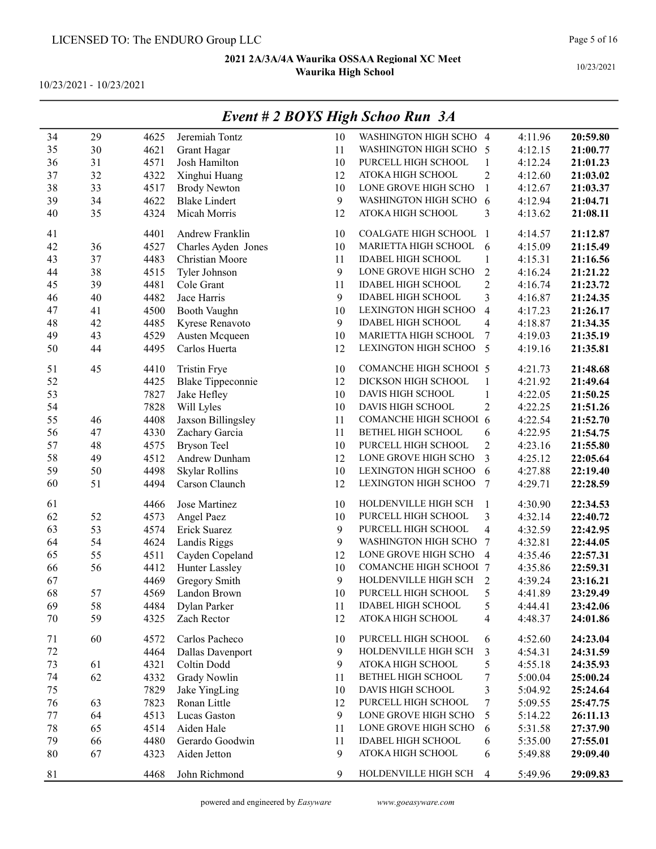10/23/2021 - 10/23/2021

|        |    |      |                          |    | $E$ veni # 2 DOTS tugn Schoo Kun $(A)$ |                         |         |          |
|--------|----|------|--------------------------|----|----------------------------------------|-------------------------|---------|----------|
| 34     | 29 | 4625 | Jeremiah Tontz           | 10 | WASHINGTON HIGH SCHO 4                 |                         | 4:11.96 | 20:59.80 |
| 35     | 30 | 4621 | Grant Hagar              | 11 | WASHINGTON HIGH SCHO 5                 |                         | 4:12.15 | 21:00.77 |
| 36     | 31 | 4571 | Josh Hamilton            | 10 | PURCELL HIGH SCHOOL                    | $\mathbf{1}$            | 4:12.24 | 21:01.23 |
| 37     | 32 | 4322 | Xinghui Huang            | 12 | ATOKA HIGH SCHOOL                      | $\overline{c}$          | 4:12.60 | 21:03.02 |
| 38     | 33 | 4517 | <b>Brody Newton</b>      | 10 | LONE GROVE HIGH SCHO                   | $\mathbf{1}$            | 4:12.67 | 21:03.37 |
| 39     | 34 | 4622 | <b>Blake Lindert</b>     | 9  | WASHINGTON HIGH SCHO                   | 6                       | 4:12.94 | 21:04.71 |
| 40     | 35 | 4324 | Micah Morris             | 12 | ATOKA HIGH SCHOOL                      | 3                       | 4:13.62 | 21:08.11 |
|        |    |      |                          |    |                                        |                         |         |          |
| 41     |    | 4401 | Andrew Franklin          | 10 | COALGATE HIGH SCHOOL                   | $\overline{1}$          | 4:14.57 | 21:12.87 |
| 42     | 36 | 4527 | Charles Ayden Jones      | 10 | MARIETTA HIGH SCHOOL                   | 6                       | 4:15.09 | 21:15.49 |
| 43     | 37 | 4483 | Christian Moore          | 11 | <b>IDABEL HIGH SCHOOL</b>              | 1                       | 4:15.31 | 21:16.56 |
| 44     | 38 | 4515 | Tyler Johnson            | 9  | LONE GROVE HIGH SCHO                   | $\overline{c}$          | 4:16.24 | 21:21.22 |
| 45     | 39 | 4481 | Cole Grant               | 11 | <b>IDABEL HIGH SCHOOL</b>              | $\overline{c}$          | 4:16.74 | 21:23.72 |
| 46     | 40 | 4482 | Jace Harris              | 9  | <b>IDABEL HIGH SCHOOL</b>              | 3                       | 4:16.87 | 21:24.35 |
| 47     | 41 | 4500 | Booth Vaughn             | 10 | <b>LEXINGTON HIGH SCHOO</b>            | $\overline{\mathbf{4}}$ | 4:17.23 | 21:26.17 |
| 48     | 42 | 4485 | Kyrese Renavoto          | 9  | <b>IDABEL HIGH SCHOOL</b>              | $\overline{\mathbf{4}}$ | 4:18.87 | 21:34.35 |
| 49     | 43 | 4529 | Austen Mcqueen           | 10 | MARIETTA HIGH SCHOOL                   | 7                       | 4:19.03 | 21:35.19 |
| 50     | 44 | 4495 | Carlos Huerta            | 12 | LEXINGTON HIGH SCHOO                   | 5                       | 4:19.16 | 21:35.81 |
| 51     | 45 | 4410 | <b>Tristin Frye</b>      | 10 | <b>COMANCHE HIGH SCHOOL 5</b>          |                         | 4:21.73 | 21:48.68 |
| 52     |    | 4425 | <b>Blake Tippeconnie</b> | 12 | DICKSON HIGH SCHOOL                    | $\mathbf{1}$            | 4:21.92 | 21:49.64 |
| 53     |    | 7827 | Jake Hefley              | 10 | DAVIS HIGH SCHOOL                      | 1                       | 4:22.05 | 21:50.25 |
| 54     |    | 7828 | Will Lyles               | 10 | DAVIS HIGH SCHOOL                      | $\overline{2}$          | 4:22.25 | 21:51.26 |
| 55     | 46 | 4408 | Jaxson Billingsley       | 11 | COMANCHE HIGH SCHOOI 6                 |                         | 4:22.54 | 21:52.70 |
| 56     | 47 | 4330 | Zachary Garcia           | 11 | BETHEL HIGH SCHOOL                     | 6                       | 4:22.95 | 21:54.75 |
| 57     | 48 | 4575 | <b>Bryson Teel</b>       | 10 | PURCELL HIGH SCHOOL                    | $\sqrt{2}$              | 4:23.16 | 21:55.80 |
| 58     | 49 | 4512 | Andrew Dunham            | 12 | LONE GROVE HIGH SCHO                   | 3                       | 4:25.12 | 22:05.64 |
| 59     | 50 | 4498 | Skylar Rollins           | 10 | LEXINGTON HIGH SCHOO                   | 6                       | 4:27.88 | 22:19.40 |
| 60     | 51 | 4494 | Carson Claunch           | 12 | LEXINGTON HIGH SCHOO                   | 7                       | 4:29.71 | 22:28.59 |
| 61     |    | 4466 | Jose Martinez            | 10 | HOLDENVILLE HIGH SCH                   | 1                       | 4:30.90 | 22:34.53 |
| 62     | 52 | 4573 | Angel Paez               | 10 | PURCELL HIGH SCHOOL                    | 3                       | 4:32.14 | 22:40.72 |
| 63     | 53 | 4574 | Erick Suarez             | 9  | PURCELL HIGH SCHOOL                    | $\overline{\mathbf{4}}$ | 4:32.59 | 22:42.95 |
| 64     | 54 | 4624 | Landis Riggs             | 9  | WASHINGTON HIGH SCHO                   | 7                       | 4:32.81 | 22:44.05 |
| 65     | 55 | 4511 | Cayden Copeland          | 12 | LONE GROVE HIGH SCHO                   | $\overline{4}$          | 4:35.46 | 22:57.31 |
| 66     | 56 | 4412 | Hunter Lassley           | 10 | COMANCHE HIGH SCHOOI 7                 |                         | 4:35.86 | 22:59.31 |
| 67     |    | 4469 | Gregory Smith            | 9  | HOLDENVILLE HIGH SCH                   | $\overline{2}$          | 4:39.24 | 23:16.21 |
| 68     | 57 | 4569 | Landon Brown             | 10 | PURCELL HIGH SCHOOL                    | 5                       | 4:41.89 | 23:29.49 |
| 69     | 58 | 4484 | Dylan Parker             | 11 | <b>IDABEL HIGH SCHOOL</b>              | 5                       | 4:44.41 | 23:42.06 |
| 70     | 59 | 4325 | Zach Rector              | 12 | ATOKA HIGH SCHOOL                      | 4                       | 4:48.37 | 24:01.86 |
|        |    |      |                          |    |                                        |                         |         |          |
| 71     | 60 | 4572 | Carlos Pacheco           | 10 | PURCELL HIGH SCHOOL                    | 6                       | 4:52.60 | 24:23.04 |
| 72     |    | 4464 | Dallas Davenport         | 9  | HOLDENVILLE HIGH SCH                   | 3                       | 4:54.31 | 24:31.59 |
| 73     | 61 | 4321 | Coltin Dodd              | 9  | ATOKA HIGH SCHOOL                      | 5                       | 4:55.18 | 24:35.93 |
| 74     | 62 | 4332 | <b>Grady Nowlin</b>      | 11 | BETHEL HIGH SCHOOL                     | 7                       | 5:00.04 | 25:00.24 |
| 75     |    | 7829 | Jake YingLing            | 10 | DAVIS HIGH SCHOOL                      | 3                       | 5:04.92 | 25:24.64 |
| 76     | 63 | 7823 | Ronan Little             | 12 | PURCELL HIGH SCHOOL                    | 7                       | 5:09.55 | 25:47.75 |
| 77     | 64 | 4513 | Lucas Gaston             | 9  | LONE GROVE HIGH SCHO                   | 5                       | 5:14.22 | 26:11.13 |
| $78\,$ | 65 | 4514 | Aiden Hale               | 11 | LONE GROVE HIGH SCHO                   | 6                       | 5:31.58 | 27:37.90 |
| 79     | 66 | 4480 | Gerardo Goodwin          | 11 | <b>IDABEL HIGH SCHOOL</b>              | 6                       | 5:35.00 | 27:55.01 |
| 80     | 67 | 4323 | Aiden Jetton             | 9  | ATOKA HIGH SCHOOL                      | 6                       | 5:49.88 | 29:09.40 |
| 81     |    | 4468 | John Richmond            | 9  | HOLDENVILLE HIGH SCH                   | $\overline{4}$          | 5:49.96 | 29:09.83 |

## Event # 2 BOYS High Schoo Run 3A

10/23/2021

Page 5 of 16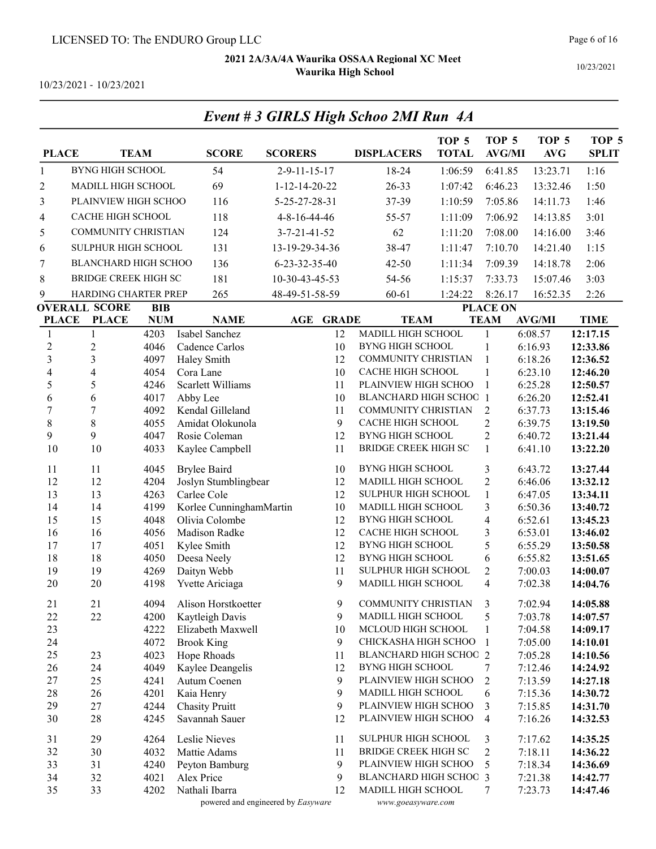Event # 3 GIRLS High Schoo 2MI Run 4A

10/23/2021 - 10/23/2021

| <b>PLACE</b>             |                             | <b>TEAM</b>  | <b>SCORE</b>             | <b>SCORERS</b>                     | <b>DISPLACERS</b>        | TOP <sub>5</sub><br><b>TOTAL</b> | TOP <sub>5</sub><br><b>AVG/MI</b> | TOP <sub>5</sub><br>AVG | TOP <sub>5</sub><br><b>SPLIT</b> |
|--------------------------|-----------------------------|--------------|--------------------------|------------------------------------|--------------------------|----------------------------------|-----------------------------------|-------------------------|----------------------------------|
| $\mathbf{1}$             | <b>BYNG HIGH SCHOOL</b>     |              | 54                       | $2 - 9 - 11 - 15 - 17$             | 18-24                    | 1:06:59                          | 6:41.85                           | 13:23.71                | 1:16                             |
| $\overline{c}$           | MADILL HIGH SCHOOL          |              | 69                       | 1-12-14-20-22                      | 26-33                    | 1:07:42                          | 6:46.23                           | 13:32.46                | 1:50                             |
| 3                        | PLAINVIEW HIGH SCHOO        |              | 116                      | 5-25-27-28-31                      | 37-39                    | 1:10:59                          | 7:05.86                           | 14:11.73                | 1:46                             |
| 4                        | CACHE HIGH SCHOOL           |              | 118                      | 4-8-16-44-46                       | 55-57                    | 1:11:09                          | 7:06.92                           | 14:13.85                | 3:01                             |
| 5                        | <b>COMMUNITY CHRISTIAN</b>  |              | 124                      | $3 - 7 - 21 - 41 - 52$             | 62                       | 1:11:20                          | 7:08.00                           | 14:16.00                | 3:46                             |
|                          | SULPHUR HIGH SCHOOL         |              |                          | 13-19-29-34-36                     |                          |                                  |                                   |                         |                                  |
| 6                        |                             |              | 131                      |                                    | 38-47                    | 1:11:47                          | 7:10.70                           | 14:21.40                | 1:15                             |
| 7                        | BLANCHARD HIGH SCHOO        |              | 136                      | 6-23-32-35-40                      | 42-50                    | 1:11:34                          | 7:09.39                           | 14:18.78                | 2:06                             |
| $\,8\,$                  | <b>BRIDGE CREEK HIGH SC</b> |              | 181                      | 10-30-43-45-53                     | 54-56                    | 1:15:37                          | 7:33.73                           | 15:07.46                | 3:03                             |
| 9                        | HARDING CHARTER PREP        |              | 265                      | 48-49-51-58-59                     | $60 - 61$                | 1:24:22                          | 8:26.17                           | 16:52.35                | 2:26                             |
|                          | <b>OVERALL SCORE</b>        | <b>BIB</b>   |                          |                                    |                          |                                  | <b>PLACE ON</b>                   |                         |                                  |
| <b>PLACE</b>             | <b>PLACE</b>                | <b>NUM</b>   | <b>NAME</b>              | <b>GRADE</b><br>AGE                |                          | <b>TEAM</b>                      | <b>TEAM</b>                       | <b>AVG/MI</b>           | <b>TIME</b>                      |
| 1                        | 1                           | 4203         | Isabel Sanchez           | 12                                 | MADILL HIGH SCHOOL       |                                  | $\mathbf{1}$                      | 6:08.57                 | 12:17.15                         |
| $\sqrt{2}$<br>3          | $\boldsymbol{2}$<br>3       | 4046         | Cadence Carlos           | 10<br>12                           | <b>BYNG HIGH SCHOOL</b>  | <b>COMMUNITY CHRISTIAN</b>       | 1<br>$\mathbf{1}$                 | 6:16.93                 | 12:33.86                         |
| $\overline{\mathcal{L}}$ | $\overline{4}$              | 4097<br>4054 | Haley Smith<br>Cora Lane | 10                                 | CACHE HIGH SCHOOL        |                                  | 1                                 | 6:18.26<br>6:23.10      | 12:36.52<br>12:46.20             |
| 5                        | 5                           | 4246         | Scarlett Williams        | 11                                 |                          | PLAINVIEW HIGH SCHOO             | $\mathbf{1}$                      | 6:25.28                 | 12:50.57                         |
| 6                        | 6                           | 4017         | Abby Lee                 | 10                                 |                          | <b>BLANCHARD HIGH SCHOC 1</b>    |                                   | 6:26.20                 | 12:52.41                         |
| $\overline{7}$           | 7                           | 4092         | Kendal Gilleland         | 11                                 |                          | COMMUNITY CHRISTIAN              | $\overline{2}$                    | 6:37.73                 | 13:15.46                         |
| 8                        | $8\,$                       | 4055         | Amidat Olokunola         | 9                                  | <b>CACHE HIGH SCHOOL</b> |                                  | $\overline{c}$                    | 6:39.75                 | 13:19.50                         |
| 9                        | 9                           | 4047         | Rosie Coleman            | 12                                 | <b>BYNG HIGH SCHOOL</b>  |                                  | $\overline{2}$                    | 6:40.72                 | 13:21.44                         |
| 10                       | 10                          | 4033         | Kaylee Campbell          | 11                                 |                          | <b>BRIDGE CREEK HIGH SC</b>      | $\mathbf{1}$                      | 6:41.10                 | 13:22.20                         |
| 11                       | 11                          | 4045         | <b>Brylee Baird</b>      | 10                                 | <b>BYNG HIGH SCHOOL</b>  |                                  | 3                                 | 6:43.72                 | 13:27.44                         |
| 12                       | 12                          | 4204         | Joslyn Stumblingbear     | 12                                 | MADILL HIGH SCHOOL       |                                  | $\overline{2}$                    | 6:46.06                 | 13:32.12                         |
| 13                       | 13                          | 4263         | Carlee Cole              | 12                                 |                          | SULPHUR HIGH SCHOOL              | $\mathbf{1}$                      | 6:47.05                 | 13:34.11                         |
| 14                       | 14                          | 4199         | Korlee CunninghamMartin  | 10                                 | MADILL HIGH SCHOOL       |                                  | 3                                 | 6:50.36                 | 13:40.72                         |
| 15                       | 15                          | 4048         | Olivia Colombe           | 12                                 | <b>BYNG HIGH SCHOOL</b>  |                                  | $\overline{4}$                    | 6:52.61                 | 13:45.23                         |
| 16                       | 16                          | 4056         | Madison Radke            | 12                                 | CACHE HIGH SCHOOL        |                                  | 3                                 | 6:53.01                 | 13:46.02                         |
| 17                       | 17                          | 4051         | Kylee Smith              | 12                                 | <b>BYNG HIGH SCHOOL</b>  |                                  | 5                                 | 6:55.29                 | 13:50.58                         |
| 18                       | 18                          | 4050         | Deesa Neely              | 12                                 | <b>BYNG HIGH SCHOOL</b>  |                                  | 6                                 | 6:55.82                 | 13:51.65                         |
| 19                       | 19                          | 4269         | Daityn Webb              | 11                                 |                          | SULPHUR HIGH SCHOOL              | $\overline{2}$                    | 7:00.03                 | 14:00.07                         |
| 20                       | 20                          | 4198         | Yvette Ariciaga          | 9                                  | MADILL HIGH SCHOOL       |                                  | $\overline{4}$                    | 7:02.38                 | 14:04.76                         |
| 21                       | 21                          | 4094         | Alison Horstkoetter      | 9                                  |                          | COMMUNITY CHRISTIAN              | 3                                 | 7:02.94                 | 14:05.88                         |
| 22                       | 22                          | 4200         | Kaytleigh Davis          | 9                                  | MADILL HIGH SCHOOL       |                                  | 5                                 | 7:03.78                 | 14:07.57                         |
| 23                       |                             | 4222         | Elizabeth Maxwell        | 10                                 | MCLOUD HIGH SCHOOL       |                                  | 1                                 | 7:04.58                 | 14:09.17                         |
| 24                       |                             | 4072         | <b>Brook King</b>        | 9                                  |                          | CHICKASHA HIGH SCHOO             | $\mathbf{1}$                      | 7:05.00                 | 14:10.01                         |
| 25                       | 23                          | 4023         | Hope Rhoads              | 11                                 |                          | <b>BLANCHARD HIGH SCHOO 2</b>    |                                   | 7:05.28                 | 14:10.56                         |
| 26                       | 24                          | 4049         | Kaylee Deangelis         | 12                                 | BYNG HIGH SCHOOL         |                                  | 7                                 | 7:12.46                 | 14:24.92                         |
| 27                       | 25                          | 4241         | Autum Coenen             | 9                                  |                          | PLAINVIEW HIGH SCHOO             | $\overline{2}$                    | 7:13.59                 | 14:27.18                         |
| 28                       | 26                          | 4201         | Kaia Henry               | 9                                  | MADILL HIGH SCHOOL       |                                  | 6                                 | 7:15.36                 | 14:30.72                         |
| 29                       | 27                          | 4244         | <b>Chasity Pruitt</b>    | 9                                  |                          | PLAINVIEW HIGH SCHOO             | 3                                 | 7:15.85                 | 14:31.70                         |
| $30\,$                   | 28                          | 4245         | Savannah Sauer           | 12                                 |                          | PLAINVIEW HIGH SCHOO             | $\overline{4}$                    | 7:16.26                 | 14:32.53                         |
| 31                       | 29                          | 4264         | Leslie Nieves            | 11                                 |                          | SULPHUR HIGH SCHOOL              | 3                                 | 7:17.62                 | 14:35.25                         |
| 32                       | 30                          | 4032         | Mattie Adams             | 11                                 |                          | <b>BRIDGE CREEK HIGH SC</b>      | $\overline{2}$                    | 7:18.11                 | 14:36.22                         |
| 33                       | 31                          | 4240         | Peyton Bamburg           | 9                                  |                          | PLAINVIEW HIGH SCHOO             | 5                                 | 7:18.34                 | 14:36.69                         |
| 34                       | 32                          | 4021         | Alex Price               | 9                                  |                          | <b>BLANCHARD HIGH SCHOC 3</b>    |                                   | 7:21.38                 | 14:42.77                         |
| 35                       | 33                          | 4202         | Nathali Ibarra           | 12                                 | MADILL HIGH SCHOOL       |                                  | $\overline{7}$                    | 7:23.73                 | 14:47.46                         |
|                          |                             |              |                          | powered and engineered by Easyware |                          | www.goeasyware.com               |                                   |                         |                                  |

#### Page 6 of 16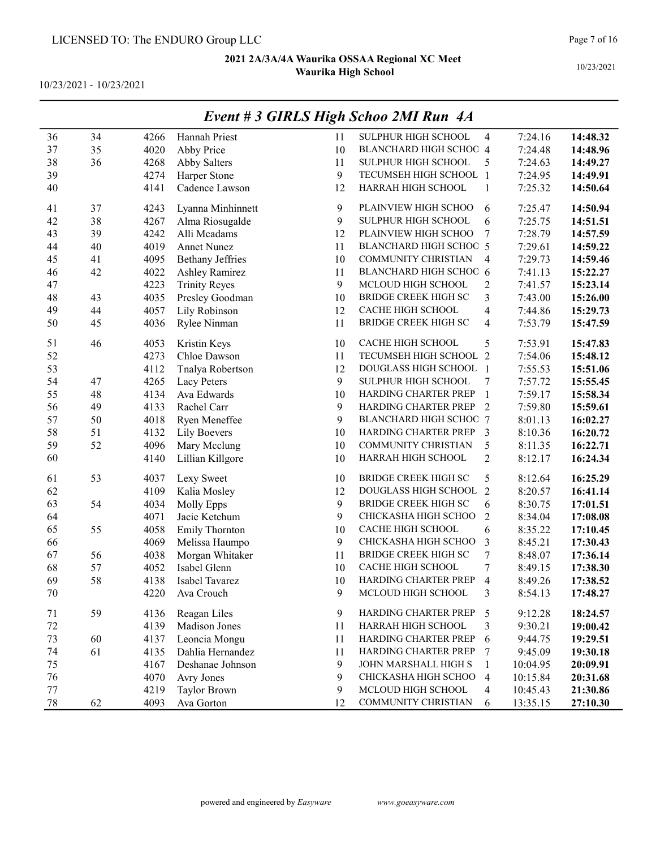10/23/2021 - 10/23/2021

|    |    |      | $\frac{1}{2}$ , $\frac{1}{2}$ , $\frac{1}{2}$ , $\frac{1}{2}$ | ະວ |                               |                 |          |          |
|----|----|------|---------------------------------------------------------------|----|-------------------------------|-----------------|----------|----------|
| 36 | 34 | 4266 | Hannah Priest                                                 | 11 | SULPHUR HIGH SCHOOL           | $\overline{4}$  | 7:24.16  | 14:48.32 |
| 37 | 35 | 4020 | Abby Price                                                    | 10 | BLANCHARD HIGH SCHOC 4        |                 | 7:24.48  | 14:48.96 |
| 38 | 36 | 4268 | <b>Abby Salters</b>                                           | 11 | SULPHUR HIGH SCHOOL           | 5               | 7:24.63  | 14:49.27 |
| 39 |    | 4274 | Harper Stone                                                  | 9  | TECUMSEH HIGH SCHOOL 1        |                 | 7:24.95  | 14:49.91 |
| 40 |    | 4141 | Cadence Lawson                                                | 12 | HARRAH HIGH SCHOOL            | $\mathbf{1}$    | 7:25.32  | 14:50.64 |
| 41 | 37 | 4243 | Lyanna Minhinnett                                             | 9  | PLAINVIEW HIGH SCHOO          | 6               | 7:25.47  | 14:50.94 |
| 42 | 38 | 4267 | Alma Riosugalde                                               | 9  | SULPHUR HIGH SCHOOL           | 6               | 7:25.75  | 14:51.51 |
| 43 | 39 | 4242 | Alli Mcadams                                                  | 12 | PLAINVIEW HIGH SCHOO          | 7               | 7:28.79  | 14:57.59 |
| 44 | 40 | 4019 | <b>Annet Nunez</b>                                            | 11 | <b>BLANCHARD HIGH SCHOC 5</b> |                 | 7:29.61  | 14:59.22 |
| 45 | 41 | 4095 | <b>Bethany Jeffries</b>                                       | 10 | COMMUNITY CHRISTIAN           | 4               | 7:29.73  | 14:59.46 |
| 46 | 42 | 4022 | <b>Ashley Ramirez</b>                                         | 11 | <b>BLANCHARD HIGH SCHOC 6</b> |                 | 7:41.13  | 15:22.27 |
| 47 |    | 4223 | <b>Trinity Reyes</b>                                          | 9  | MCLOUD HIGH SCHOOL            | $\mathbf{2}$    | 7:41.57  | 15:23.14 |
| 48 | 43 | 4035 | Presley Goodman                                               | 10 | <b>BRIDGE CREEK HIGH SC</b>   | 3               | 7:43.00  | 15:26.00 |
| 49 | 44 | 4057 | Lily Robinson                                                 | 12 | CACHE HIGH SCHOOL             | 4               | 7:44.86  | 15:29.73 |
| 50 | 45 | 4036 | Rylee Ninman                                                  | 11 | <b>BRIDGE CREEK HIGH SC</b>   | 4               | 7:53.79  | 15:47.59 |
| 51 | 46 | 4053 | Kristin Keys                                                  | 10 | CACHE HIGH SCHOOL             | 5               | 7:53.91  | 15:47.83 |
| 52 |    | 4273 | Chloe Dawson                                                  | 11 | TECUMSEH HIGH SCHOOL 2        |                 | 7:54.06  | 15:48.12 |
| 53 |    | 4112 | Tnalya Robertson                                              | 12 | DOUGLASS HIGH SCHOOL 1        |                 | 7:55.53  | 15:51.06 |
| 54 | 47 | 4265 | Lacy Peters                                                   | 9  | SULPHUR HIGH SCHOOL           | 7               | 7:57.72  | 15:55.45 |
| 55 | 48 | 4134 | Ava Edwards                                                   | 10 | HARDING CHARTER PREP          | $\mathbf{1}$    | 7:59.17  | 15:58.34 |
| 56 | 49 | 4133 | Rachel Carr                                                   | 9  | HARDING CHARTER PREP          | $\overline{2}$  | 7:59.80  | 15:59.61 |
| 57 | 50 | 4018 | Ryen Meneffee                                                 | 9  | <b>BLANCHARD HIGH SCHOC 7</b> |                 | 8:01.13  | 16:02.27 |
| 58 | 51 | 4132 | <b>Lily Boevers</b>                                           | 10 | HARDING CHARTER PREP          | $\overline{3}$  | 8:10.36  | 16:20.72 |
| 59 | 52 | 4096 | Mary Mcclung                                                  | 10 | COMMUNITY CHRISTIAN           | 5               | 8:11.35  | 16:22.71 |
| 60 |    | 4140 | Lillian Killgore                                              | 10 | HARRAH HIGH SCHOOL            | $\overline{2}$  | 8:12.17  | 16:24.34 |
| 61 | 53 | 4037 | Lexy Sweet                                                    | 10 | <b>BRIDGE CREEK HIGH SC</b>   | 5               | 8:12.64  | 16:25.29 |
| 62 |    | 4109 | Kalia Mosley                                                  | 12 | DOUGLASS HIGH SCHOOL 2        |                 | 8:20.57  | 16:41.14 |
| 63 | 54 | 4034 | Molly Epps                                                    | 9  | <b>BRIDGE CREEK HIGH SC</b>   | 6               | 8:30.75  | 17:01.51 |
| 64 |    | 4071 | Jacie Ketchum                                                 | 9  | CHICKASHA HIGH SCHOO          | $\overline{2}$  | 8:34.04  | 17:08.08 |
| 65 | 55 | 4058 | <b>Emily Thornton</b>                                         | 10 | CACHE HIGH SCHOOL             | 6               | 8:35.22  | 17:10.45 |
| 66 |    | 4069 | Melissa Haumpo                                                | 9  | CHICKASHA HIGH SCHOO          | 3               | 8:45.21  | 17:30.43 |
| 67 | 56 | 4038 | Morgan Whitaker                                               | 11 | <b>BRIDGE CREEK HIGH SC</b>   | 7               | 8:48.07  | 17:36.14 |
| 68 | 57 | 4052 | Isabel Glenn                                                  | 10 | CACHE HIGH SCHOOL             | 7               | 8:49.15  | 17:38.30 |
| 69 | 58 | 4138 | Isabel Tavarez                                                | 10 | HARDING CHARTER PREP          | 4               | 8:49.26  | 17:38.52 |
| 70 |    | 4220 | Ava Crouch                                                    | 9  | MCLOUD HIGH SCHOOL            | 3               | 8:54.13  | 17:48.27 |
| 71 | 59 | 4136 | Reagan Liles                                                  | 9  | HARDING CHARTER PREP          | 5               | 9:12.28  | 18:24.57 |
| 72 |    | 4139 | Madison Jones                                                 | 11 | HARRAH HIGH SCHOOL            | 3               | 9:30.21  | 19:00.42 |
| 73 | 60 | 4137 | Leoncia Mongu                                                 | 11 | HARDING CHARTER PREP          | 6               | 9:44.75  | 19:29.51 |
| 74 | 61 | 4135 | Dahlia Hernandez                                              | 11 | HARDING CHARTER PREP          | $7\phantom{.0}$ | 9:45.09  | 19:30.18 |
| 75 |    | 4167 | Deshanae Johnson                                              | 9  | JOHN MARSHALL HIGH S          | 1               | 10:04.95 | 20:09.91 |
| 76 |    | 4070 | Avry Jones                                                    | 9  | CHICKASHA HIGH SCHOO          | $\overline{4}$  | 10:15.84 | 20:31.68 |
| 77 |    | 4219 | Taylor Brown                                                  | 9  | MCLOUD HIGH SCHOOL            | 4               | 10:45.43 | 21:30.86 |
| 78 | 62 | 4093 | Ava Gorton                                                    | 12 | COMMUNITY CHRISTIAN           | 6               | 13:35.15 | 27:10.30 |

### Event # 3 GIRLS High Schoo 2MI Run 4A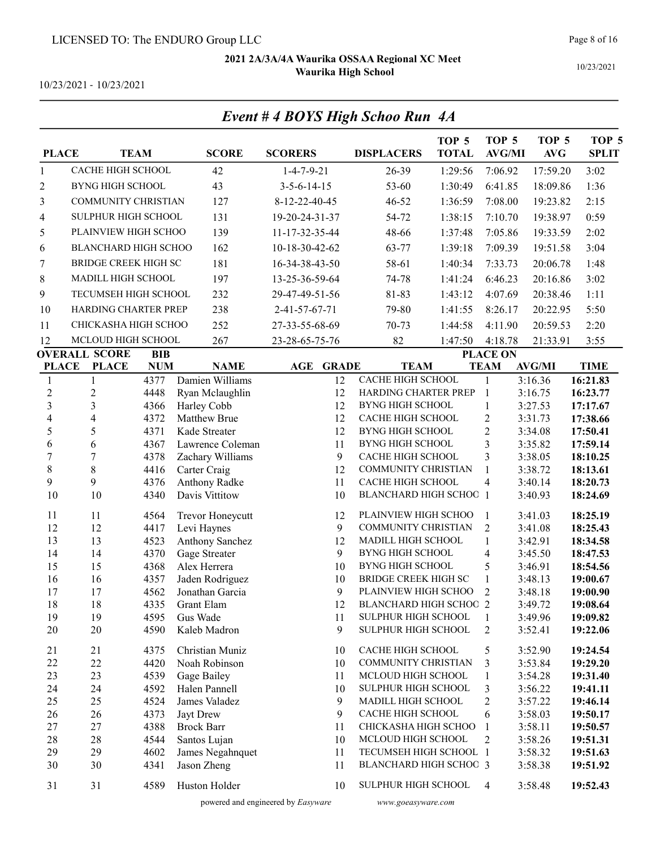Event # 4 BOYS High Schoo Run 4A

10/23/2021 - 10/23/2021

| <b>PLACE</b>            |                                      | <b>TEAM</b>              | <b>SCORE</b>                     | <b>SCORERS</b>        | <b>DISPLACERS</b>                                     | TOP <sub>5</sub><br><b>TOTAL</b> | TOP <sub>5</sub><br><b>AVG/MI</b> | TOP <sub>5</sub><br><b>AVG</b> | TOP <sub>5</sub><br><b>SPLIT</b> |
|-------------------------|--------------------------------------|--------------------------|----------------------------------|-----------------------|-------------------------------------------------------|----------------------------------|-----------------------------------|--------------------------------|----------------------------------|
| $\mathbf{1}$            | CACHE HIGH SCHOOL                    |                          | 42                               | $1 - 4 - 7 - 9 - 21$  | 26-39                                                 | 1:29:56                          | 7:06.92                           | 17:59.20                       | 3:02                             |
| $\overline{c}$          | <b>BYNG HIGH SCHOOL</b>              |                          | 43                               | $3 - 5 - 6 - 14 - 15$ | 53-60                                                 | 1:30:49                          | 6:41.85                           | 18:09.86                       | 1:36                             |
| 3                       | <b>COMMUNITY CHRISTIAN</b>           |                          | 127                              | 8-12-22-40-45         | $46 - 52$                                             | 1:36:59                          | 7:08.00                           | 19:23.82                       | 2:15                             |
| 4                       | SULPHUR HIGH SCHOOL                  |                          | 131                              | 19-20-24-31-37        | 54-72                                                 | 1:38:15                          | 7:10.70                           | 19:38.97                       | 0:59                             |
| 5                       | PLAINVIEW HIGH SCHOO                 |                          | 139                              | 11-17-32-35-44        | 48-66                                                 | 1:37:48                          | 7:05.86                           | 19:33.59                       | 2:02                             |
| 6                       | <b>BLANCHARD HIGH SCHOO</b>          |                          | 162                              | 10-18-30-42-62        | 63-77                                                 | 1:39:18                          | 7:09.39                           | 19:51.58                       | 3:04                             |
| 7                       | <b>BRIDGE CREEK HIGH SC</b>          |                          | 181                              | 16-34-38-43-50        | 58-61                                                 | 1:40:34                          | 7:33.73                           | 20:06.78                       | 1:48                             |
| 8                       | MADILL HIGH SCHOOL                   |                          | 197                              | 13-25-36-59-64        | 74-78                                                 | 1:41:24                          | 6:46.23                           | 20:16.86                       | 3:02                             |
| 9                       | TECUMSEH HIGH SCHOOL                 |                          | 232                              |                       | 81-83                                                 |                                  |                                   | 20:38.46                       | 1:11                             |
|                         |                                      |                          |                                  | 29-47-49-51-56        |                                                       | 1:43:12                          | 4:07.69                           |                                |                                  |
| 10                      | HARDING CHARTER PREP                 |                          | 238                              | 2-41-57-67-71         | 79-80                                                 | 1:41:55                          | 8:26.17                           | 20:22.95                       | 5:50                             |
| 11                      | CHICKASHA HIGH SCHOO                 |                          | 252                              | 27-33-55-68-69        | 70-73                                                 | 1:44:58                          | 4:11.90                           | 20:59.53                       | 2:20                             |
| 12                      | MCLOUD HIGH SCHOOL                   |                          | 267                              | 23-28-65-75-76        | 82                                                    | 1:47:50                          | 4:18.78                           | 21:33.91                       | 3:55                             |
| <b>PLACE</b>            | <b>OVERALL SCORE</b><br><b>PLACE</b> | <b>BIB</b><br><b>NUM</b> | <b>NAME</b>                      | AGE<br><b>GRADE</b>   | <b>TEAM</b>                                           |                                  | <b>PLACE ON</b><br><b>TEAM</b>    | <b>AVG/MI</b>                  | <b>TIME</b>                      |
| $\mathbf{1}$            | $\mathbf{1}$                         | 4377                     | Damien Williams                  | 12                    | CACHE HIGH SCHOOL                                     |                                  | $\mathbf{1}$                      | 3:16.36                        | 16:21.83                         |
| $\overline{2}$          | $\overline{2}$                       | 4448                     | Ryan Mclaughlin                  | 12                    | HARDING CHARTER PREP                                  |                                  | $\mathbf{1}$                      | 3:16.75                        | 16:23.77                         |
| $\overline{\mathbf{3}}$ | 3                                    | 4366                     | Harley Cobb                      | 12                    | <b>BYNG HIGH SCHOOL</b>                               |                                  | $\mathbf{1}$                      | 3:27.53                        | 17:17.67                         |
| 4                       | $\overline{\mathbf{4}}$              | 4372                     | Matthew Brue                     | 12                    | CACHE HIGH SCHOOL                                     |                                  | $\mathbf{2}$                      | 3:31.73                        | 17:38.66                         |
| 5                       | 5                                    | 4371                     | Kade Streater                    | 12                    | <b>BYNG HIGH SCHOOL</b>                               |                                  | $\boldsymbol{2}$                  | 3:34.08                        | 17:50.41                         |
| 6                       | 6                                    | 4367                     | Lawrence Coleman                 | 11                    | <b>BYNG HIGH SCHOOL</b>                               |                                  | 3                                 | 3:35.82                        | 17:59.14                         |
| $\overline{7}$          | $\overline{7}$                       | 4378                     | Zachary Williams                 | 9                     | CACHE HIGH SCHOOL                                     |                                  | 3                                 | 3:38.05                        | 18:10.25                         |
| $\,8$                   | $8\,$                                | 4416                     | Carter Craig                     | 12                    | COMMUNITY CHRISTIAN                                   |                                  | $\mathbf{1}$                      | 3:38.72                        | 18:13.61                         |
| 9                       | 9                                    | 4376                     | Anthony Radke                    | 11                    | CACHE HIGH SCHOOL                                     |                                  | $\overline{\mathbf{4}}$           | 3:40.14                        | 18:20.73                         |
| 10                      | 10                                   | 4340                     | Davis Vittitow                   | 10                    | <b>BLANCHARD HIGH SCHOC 1</b>                         |                                  |                                   | 3:40.93                        | 18:24.69                         |
| 11                      | 11                                   | 4564                     | Trevor Honeycutt                 | 12                    | PLAINVIEW HIGH SCHOO                                  |                                  | 1                                 | 3:41.03                        | 18:25.19                         |
| 12                      | 12                                   | 4417                     | Levi Haynes                      | 9                     | COMMUNITY CHRISTIAN                                   |                                  | $\overline{2}$                    | 3:41.08                        | 18:25.43                         |
| 13                      | 13                                   | 4523                     | Anthony Sanchez                  | 12                    | MADILL HIGH SCHOOL                                    |                                  | $\mathbf{1}$                      | 3:42.91                        | 18:34.58                         |
| 14                      | 14                                   | 4370                     | Gage Streater                    | 9                     | <b>BYNG HIGH SCHOOL</b>                               |                                  | $\overline{4}$                    | 3:45.50                        | 18:47.53                         |
| 15                      | 15                                   | 4368                     | Alex Herrera                     | 10                    | <b>BYNG HIGH SCHOOL</b>                               |                                  | 5                                 | 3:46.91                        | 18:54.56                         |
| 16                      | 16                                   | 4357                     | Jaden Rodriguez                  | 10                    | <b>BRIDGE CREEK HIGH SC</b>                           |                                  | $\mathbf{1}$                      | 3:48.13                        | 19:00.67                         |
| 17<br>18                | 17<br>18                             | 4562<br>4335             | Jonathan Garcia<br>Grant Elam    | 9<br>12               | PLAINVIEW HIGH SCHOO<br><b>BLANCHARD HIGH SCHOO 2</b> |                                  | $\overline{2}$                    | 3:48.18<br>3:49.72             | 19:00.90<br>19:08.64             |
| 19                      | 19                                   | 4595                     | Gus Wade                         | 11                    | SULPHUR HIGH SCHOOL                                   |                                  | 1                                 | 3:49.96                        | 19:09.82                         |
| 20                      | $20\,$                               | 4590                     | Kaleb Madron                     | 9                     | SULPHUR HIGH SCHOOL                                   |                                  | 2                                 | 3:52.41                        | 19:22.06                         |
| 21                      | 21                                   | 4375                     | Christian Muniz                  | 10                    | CACHE HIGH SCHOOL                                     |                                  | 5                                 | 3:52.90                        | 19:24.54                         |
| 22                      | 22                                   | 4420                     | Noah Robinson                    | 10                    | COMMUNITY CHRISTIAN                                   |                                  | 3                                 | 3:53.84                        | 19:29.20                         |
| 23                      | 23                                   | 4539                     | Gage Bailey                      | 11                    | MCLOUD HIGH SCHOOL                                    |                                  | 1                                 | 3:54.28                        | 19:31.40                         |
| 24                      | 24                                   | 4592                     | Halen Pannell                    | 10                    | SULPHUR HIGH SCHOOL                                   |                                  | 3                                 | 3:56.22                        | 19:41.11                         |
| 25                      | 25                                   | 4524                     | James Valadez                    | 9                     | MADILL HIGH SCHOOL                                    |                                  | $\overline{c}$                    | 3:57.22                        | 19:46.14                         |
| 26                      | 26                                   | 4373                     | Jayt Drew                        | 9                     | CACHE HIGH SCHOOL                                     |                                  | 6                                 | 3:58.03                        | 19:50.17                         |
| 27<br>28                | $27\,$<br>28                         | 4388<br>4544             | <b>Brock Barr</b>                | 11<br>10              | CHICKASHA HIGH SCHOO<br>MCLOUD HIGH SCHOOL            |                                  | 1<br>2                            | 3:58.11<br>3:58.26             | 19:50.57                         |
| 29                      | 29                                   | 4602                     | Santos Lujan<br>James Negahnquet | 11                    | TECUMSEH HIGH SCHOOL 1                                |                                  |                                   | 3:58.32                        | 19:51.31<br>19:51.63             |
| 30                      | 30                                   | 4341                     | Jason Zheng                      | 11                    | BLANCHARD HIGH SCHOC 3                                |                                  |                                   | 3:58.38                        | 19:51.92                         |
| 31                      | 31                                   | 4589                     | Huston Holder                    | 10                    | SULPHUR HIGH SCHOOL                                   |                                  | $\overline{4}$                    | 3:58.48                        | 19:52.43                         |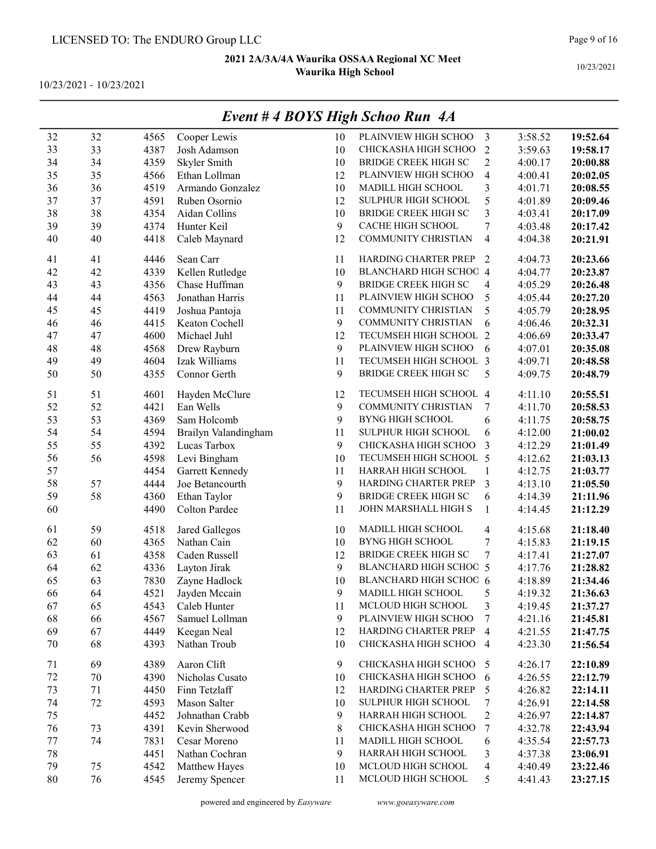|         | Event # 4 BOYS High Schoo Run 4A |      |                      |              |                               |                          |         |          |  |  |
|---------|----------------------------------|------|----------------------|--------------|-------------------------------|--------------------------|---------|----------|--|--|
| 32      | 32                               | 4565 | Cooper Lewis         | 10           | PLAINVIEW HIGH SCHOO          | 3                        | 3:58.52 | 19:52.64 |  |  |
| 33      | 33                               | 4387 | Josh Adamson         | 10           | CHICKASHA HIGH SCHOO          | $\overline{2}$           | 3:59.63 | 19:58.17 |  |  |
| 34      | 34                               | 4359 | Skyler Smith         | 10           | <b>BRIDGE CREEK HIGH SC</b>   | $\overline{c}$           | 4:00.17 | 20:00.88 |  |  |
| 35      | 35                               | 4566 | Ethan Lollman        | 12           | PLAINVIEW HIGH SCHOO          | 4                        | 4:00.41 | 20:02.05 |  |  |
| 36      | 36                               | 4519 | Armando Gonzalez     | 10           | MADILL HIGH SCHOOL            | 3                        | 4:01.71 | 20:08.55 |  |  |
| 37      | 37                               | 4591 | Ruben Osornio        | 12           | SULPHUR HIGH SCHOOL           | 5                        | 4:01.89 | 20:09.46 |  |  |
| 38      | 38                               | 4354 | Aidan Collins        | 10           | <b>BRIDGE CREEK HIGH SC</b>   | 3                        | 4:03.41 | 20:17.09 |  |  |
| 39      | 39                               | 4374 | Hunter Keil          | $\mathbf{9}$ | CACHE HIGH SCHOOL             | 7                        | 4:03.48 | 20:17.42 |  |  |
| 40      | 40                               | 4418 | Caleb Maynard        | 12           | <b>COMMUNITY CHRISTIAN</b>    | 4                        | 4:04.38 | 20:21.91 |  |  |
| 41      | 41                               | 4446 | Sean Carr            | 11           | HARDING CHARTER PREP          | 2                        | 4:04.73 | 20:23.66 |  |  |
| 42      | 42                               | 4339 | Kellen Rutledge      | 10           | BLANCHARD HIGH SCHOC 4        |                          | 4:04.77 | 20:23.87 |  |  |
| 43      | 43                               | 4356 | Chase Huffman        | 9            | <b>BRIDGE CREEK HIGH SC</b>   | 4                        | 4:05.29 | 20:26.48 |  |  |
| 44      | 44                               | 4563 | Jonathan Harris      | 11           | PLAINVIEW HIGH SCHOO          | 5                        | 4:05.44 | 20:27.20 |  |  |
| 45      | 45                               | 4419 | Joshua Pantoja       | 11           | COMMUNITY CHRISTIAN           | 5                        | 4:05.79 | 20:28.95 |  |  |
| 46      | 46                               | 4415 | Keaton Cochell       | 9            | COMMUNITY CHRISTIAN           | 6                        | 4:06.46 | 20:32.31 |  |  |
| 47      | 47                               | 4600 | Michael Juhl         | 12           | TECUMSEH HIGH SCHOOL 2        |                          | 4:06.69 | 20:33.47 |  |  |
| 48      | 48                               | 4568 | Drew Rayburn         | 9            | PLAINVIEW HIGH SCHOO          | 6                        | 4:07.01 | 20:35.08 |  |  |
| 49      | 49                               | 4604 | Izak Williams        | 11           | TECUMSEH HIGH SCHOOL 3        |                          | 4:09.71 | 20:48.58 |  |  |
| 50      | 50                               | 4355 | Connor Gerth         | 9            | <b>BRIDGE CREEK HIGH SC</b>   | 5                        | 4:09.75 | 20:48.79 |  |  |
| 51      | 51                               | 4601 | Hayden McClure       | 12           | TECUMSEH HIGH SCHOOL 4        |                          | 4:11.10 | 20:55.51 |  |  |
| 52      | 52                               | 4421 | Ean Wells            | 9            | COMMUNITY CHRISTIAN           | 7                        | 4:11.70 | 20:58.53 |  |  |
| 53      | 53                               | 4369 | Sam Holcomb          | 9            | <b>BYNG HIGH SCHOOL</b>       | 6                        | 4:11.75 | 20:58.75 |  |  |
| 54      | 54                               | 4594 | Brailyn Valandingham | 11           | SULPHUR HIGH SCHOOL           | 6                        | 4:12.00 | 21:00.02 |  |  |
| 55      | 55                               | 4392 | Lucas Tarbox         | 9            | CHICKASHA HIGH SCHOO          | 3                        | 4:12.29 | 21:01.49 |  |  |
| 56      | 56                               | 4598 | Levi Bingham         | 10           | TECUMSEH HIGH SCHOOL 5        |                          | 4:12.62 | 21:03.13 |  |  |
| 57      |                                  | 4454 | Garrett Kennedy      | 11           | HARRAH HIGH SCHOOL            | $\mathbf{1}$             | 4:12.75 | 21:03.77 |  |  |
| 58      | 57                               | 4444 | Joe Betancourth      | 9            | HARDING CHARTER PREP          | 3                        | 4:13.10 | 21:05.50 |  |  |
| 59      | 58                               | 4360 | Ethan Taylor         | 9            | <b>BRIDGE CREEK HIGH SC</b>   | 6                        | 4:14.39 | 21:11.96 |  |  |
| 60      |                                  | 4490 | Colton Pardee        | 11           | JOHN MARSHALL HIGH S          | $\mathbf{1}$             | 4:14.45 | 21:12.29 |  |  |
| 61      | 59                               | 4518 | Jared Gallegos       | 10           | MADILL HIGH SCHOOL            | 4                        | 4:15.68 | 21:18.40 |  |  |
| 62      | 60                               | 4365 | Nathan Cain          | 10           | <b>BYNG HIGH SCHOOL</b>       | 7                        | 4:15.83 | 21:19.15 |  |  |
| 63      | 61                               | 4358 | Caden Russell        | 12           | <b>BRIDGE CREEK HIGH SC</b>   | 7                        | 4:17.41 | 21:27.07 |  |  |
| 64      | 62                               | 4336 | Layton Jirak         | 9            | <b>BLANCHARD HIGH SCHOC 5</b> |                          | 4:17.76 | 21:28.82 |  |  |
| 65      | 63                               | 7830 | Zayne Hadlock        | 10           | BLANCHARD HIGH SCHOO 6        |                          | 4:18.89 | 21:34.46 |  |  |
| 66      | 64                               | 4521 | Jayden Mccain        | 9            | MADILL HIGH SCHOOL            | 5                        | 4:19.32 | 21:36.63 |  |  |
| 67      | 65                               | 4543 | Caleb Hunter         | 11           | MCLOUD HIGH SCHOOL            | 3                        | 4:19.45 | 21:37.27 |  |  |
| 68      | 66                               | 4567 | Samuel Lollman       | 9            | PLAINVIEW HIGH SCHOO          | 7                        | 4:21.16 | 21:45.81 |  |  |
| 69      | 67                               | 4449 | Keegan Neal          | 12           | HARDING CHARTER PREP          | $\overline{\mathcal{A}}$ | 4:21.55 | 21:47.75 |  |  |
| 70      | 68                               | 4393 | Nathan Troub         | 10           | CHICKASHA HIGH SCHOO          | $\overline{4}$           | 4:23.30 | 21:56.54 |  |  |
| 71      | 69                               | 4389 | Aaron Clift          | 9            | CHICKASHA HIGH SCHOO          | 5                        | 4:26.17 | 22:10.89 |  |  |
| 72      | 70                               | 4390 | Nicholas Cusato      | 10           | CHICKASHA HIGH SCHOO          | 6                        | 4:26.55 | 22:12.79 |  |  |
| 73      | 71                               | 4450 | Finn Tetzlaff        | 12           | HARDING CHARTER PREP          | 5                        | 4:26.82 | 22:14.11 |  |  |
| 74      | 72                               | 4593 | Mason Salter         | 10           | SULPHUR HIGH SCHOOL           | 7                        | 4:26.91 | 22:14.58 |  |  |
| 75      |                                  | 4452 | Johnathan Crabb      | 9            | HARRAH HIGH SCHOOL            | 2                        | 4:26.97 | 22:14.87 |  |  |
| 76      | 73                               | 4391 | Kevin Sherwood       | 8            | CHICKASHA HIGH SCHOO          | 7                        | 4:32.78 | 22:43.94 |  |  |
| $77 \,$ | 74                               | 7831 | Cesar Moreno         | 11           | MADILL HIGH SCHOOL            | 6                        | 4:35.54 | 22:57.73 |  |  |
| 78      |                                  | 4451 | Nathan Cochran       | 9            | HARRAH HIGH SCHOOL            | 3                        | 4:37.38 | 23:06.91 |  |  |
| 79      | 75                               | 4542 | Matthew Hayes        | 10           | MCLOUD HIGH SCHOOL            | 4                        | 4:40.49 | 23:22.46 |  |  |
| 80      | 76                               | 4545 | Jeremy Spencer       | 11           | MCLOUD HIGH SCHOOL            | 5                        | 4:41.43 | 23:27.15 |  |  |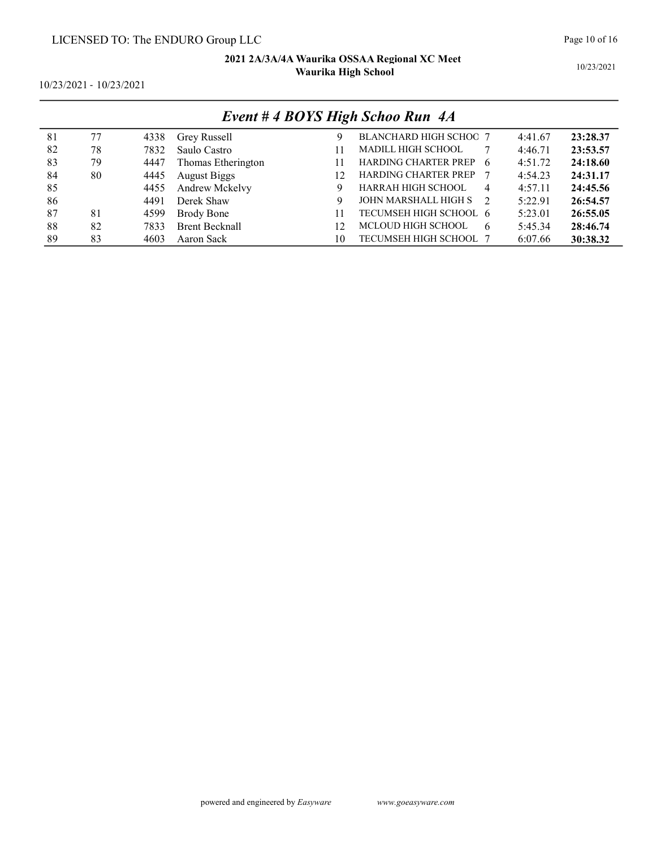10/23/2021

10/23/2021 - 10/23/2021

| Event #4 BOYS High Schoo Run 4A |    |      |                       |    |                               |         |          |  |  |  |
|---------------------------------|----|------|-----------------------|----|-------------------------------|---------|----------|--|--|--|
| 81                              | 77 | 4338 | Grey Russell          | 9  | <b>BLANCHARD HIGH SCHOC 7</b> | 4:41.67 | 23:28.37 |  |  |  |
| 82                              | 78 | 7832 | Saulo Castro          | 11 | <b>MADILL HIGH SCHOOL</b>     | 4:46.71 | 23:53.57 |  |  |  |
| 83                              | 79 | 4447 | Thomas Etherington    | 11 | HARDING CHARTER PREP<br>6     | 4:51.72 | 24:18.60 |  |  |  |
| 84                              | 80 | 4445 | <b>August Biggs</b>   | 12 | <b>HARDING CHARTER PREP</b>   | 4:54.23 | 24:31.17 |  |  |  |
| 85                              |    | 4455 | Andrew Mckelvy        | 9  | HARRAH HIGH SCHOOL<br>4       | 4:57.11 | 24:45.56 |  |  |  |
| 86                              |    | 4491 | Derek Shaw            | 9  | JOHN MARSHALL HIGH S<br>2     | 5:22.91 | 26:54.57 |  |  |  |
| 87                              | 81 | 4599 | Brody Bone            | 11 | TECUMSEH HIGH SCHOOL 6        | 5:23.01 | 26:55.05 |  |  |  |
| 88                              | 82 | 7833 | <b>Brent Becknall</b> | 12 | MCLOUD HIGH SCHOOL<br>6       | 5:45.34 | 28:46.74 |  |  |  |
| 89                              | 83 | 4603 | Aaron Sack            | 10 | TECUMSEH HIGH SCHOOL 7        | 6:07.66 | 30:38.32 |  |  |  |

### Event # 4 BOYS High Schoo Run 4A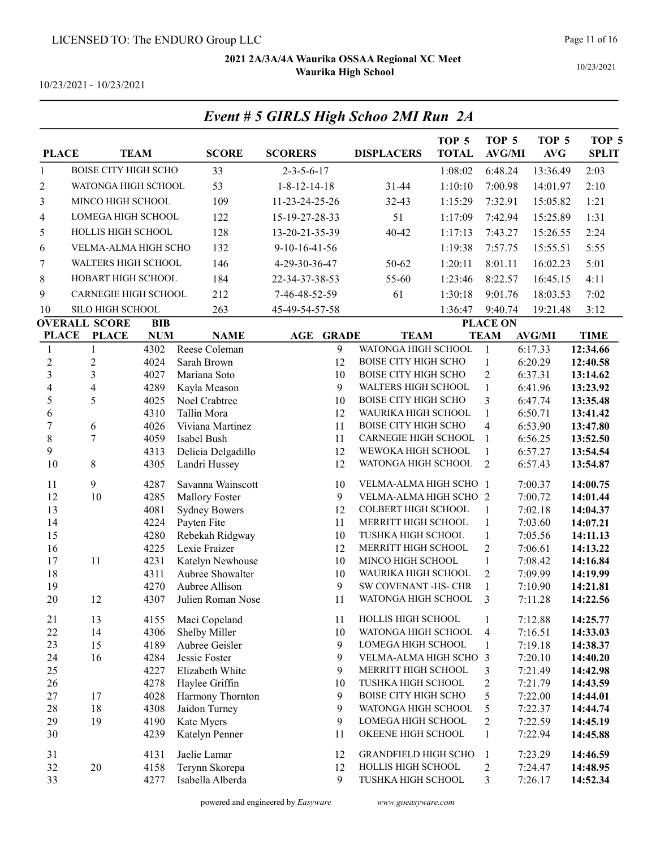Event # 5 GIRLS High Schoo 2MI Run 2A

10/23/2021

| <b>PLACE</b>                          |                                                    | <b>TEAM</b>  | <b>SCORE</b>                 | <b>SCORERS</b>             | <b>DISPLACERS</b>                                  | TOP <sub>5</sub><br><b>TOTAL</b> | TOP <sub>5</sub><br><b>AVG/MI</b> | TOP <sub>5</sub><br>AVG | TOP <sub>5</sub><br><b>SPLIT</b> |
|---------------------------------------|----------------------------------------------------|--------------|------------------------------|----------------------------|----------------------------------------------------|----------------------------------|-----------------------------------|-------------------------|----------------------------------|
| $\mathbf{1}$                          | <b>BOISE CITY HIGH SCHO</b>                        |              | 33                           | $2 - 3 - 5 - 6 - 17$       |                                                    | 1:08:02                          | 6:48.24                           | 13:36.49                | 2:03                             |
| $\overline{c}$                        | WATONGA HIGH SCHOOL                                |              | 53                           | $1 - 8 - 12 - 14 - 18$     | 31-44                                              | 1:10:10                          | 7:00.98                           | 14:01.97                | 2:10                             |
| 3                                     | MINCO HIGH SCHOOL                                  |              | 109                          | 11-23-24-25-26             | 32-43                                              | 1:15:29                          | 7:32.91                           | 15:05.82                | 1:21                             |
| 4                                     | LOMEGA HIGH SCHOOL                                 |              | 122                          | 15-19-27-28-33             | 51                                                 | 1:17:09                          | 7:42.94                           | 15:25.89                | 1:31                             |
| 5                                     | HOLLIS HIGH SCHOOL                                 |              | 128                          | 13-20-21-35-39             | 40-42                                              | 1:17:13                          | 7:43.27                           | 15:26.55                | 2:24                             |
|                                       | VELMA-ALMA HIGH SCHO                               |              | 132                          | $9-10-16-41-56$            |                                                    | 1:19:38                          | 7:57.75                           | 15:55.51                | 5:55                             |
| 6                                     | WALTERS HIGH SCHOOL                                |              |                              |                            |                                                    |                                  |                                   |                         |                                  |
| 7                                     |                                                    |              | 146                          | 4-29-30-36-47              | 50-62                                              | 1:20:11                          | 8:01.11                           | 16:02.23                | 5:01                             |
| $\,8\,$                               | HOBART HIGH SCHOOL                                 |              | 184                          | 22-34-37-38-53             | 55-60                                              | 1:23:46                          | 8:22.57                           | 16:45.15                | 4:11                             |
| 9                                     | <b>CARNEGIE HIGH SCHOOL</b>                        |              | 212                          | 7-46-48-52-59              | 61                                                 | 1:30:18                          | 9:01.76                           | 18:03.53                | 7:02                             |
| 10                                    | SILO HIGH SCHOOL                                   |              | 263                          | 45-49-54-57-58             |                                                    | 1:36:47                          | 9:40.74                           | 19:21.48                | 3:12                             |
|                                       | <b>OVERALL SCORE</b>                               | <b>BIB</b>   |                              |                            |                                                    |                                  | <b>PLACE ON</b>                   |                         |                                  |
| <b>PLACE</b>                          | <b>PLACE</b>                                       | <b>NUM</b>   | <b>NAME</b>                  | <b>AGE</b><br><b>GRADE</b> | <b>TEAM</b>                                        |                                  | <b>TEAM</b>                       | <b>AVG/MI</b>           | <b>TIME</b>                      |
| $\mathbf{1}$                          | $\mathbf{1}$                                       | 4302         | Reese Coleman                | 9                          | WATONGA HIGH SCHOOL                                |                                  | $\mathbf{1}$                      | 6:17.33                 | 12:34.66                         |
| $\sqrt{2}$<br>$\overline{\mathbf{3}}$ | $\overline{c}$                                     | 4024         | Sarah Brown                  | 12                         | <b>BOISE CITY HIGH SCHO</b>                        |                                  | $\mathbf{1}$                      | 6:20.29                 | 12:40.58                         |
| $\overline{\mathcal{L}}$              | $\overline{\mathbf{3}}$<br>$\overline{\mathbf{4}}$ | 4027<br>4289 | Mariana Soto<br>Kayla Meason | 10<br>9                    | <b>BOISE CITY HIGH SCHO</b><br>WALTERS HIGH SCHOOL |                                  | $\overline{2}$<br>$\mathbf 1$     | 6:37.31<br>6:41.96      | 13:14.62<br>13:23.92             |
| 5                                     | 5                                                  | 4025         | Noel Crabtree                | 10                         | <b>BOISE CITY HIGH SCHO</b>                        |                                  | 3                                 | 6:47.74                 | 13:35.48                         |
| 6                                     |                                                    | 4310         | Tallin Mora                  | 12                         | WAURIKA HIGH SCHOOL                                |                                  | $\mathbf{1}$                      | 6:50.71                 | 13:41.42                         |
| $\overline{7}$                        | 6                                                  | 4026         | Viviana Martinez             | 11                         | <b>BOISE CITY HIGH SCHO</b>                        |                                  | $\overline{\mathcal{A}}$          | 6:53.90                 | 13:47.80                         |
| 8                                     | $\boldsymbol{7}$                                   | 4059         | Isabel Bush                  | 11                         | CARNEGIE HIGH SCHOOL                               |                                  | 1                                 | 6:56.25                 | 13:52.50                         |
| 9                                     |                                                    | 4313         | Delicia Delgadillo           | 12                         | WEWOKA HIGH SCHOOL                                 |                                  | 1                                 | 6:57.27                 | 13:54.54                         |
| 10                                    | $\,$ 8 $\,$                                        | 4305         | Landri Hussey                | 12                         | WATONGA HIGH SCHOOL                                |                                  | $\overline{2}$                    | 6:57.43                 | 13:54.87                         |
| 11                                    | 9                                                  | 4287         | Savanna Wainscott            | 10                         | VELMA-ALMA HIGH SCHO                               |                                  | $\overline{1}$                    | 7:00.37                 | 14:00.75                         |
| 12                                    | 10                                                 | 4285         | Mallory Foster               | 9                          | VELMA-ALMA HIGH SCHO 2                             |                                  |                                   | 7:00.72                 | 14:01.44                         |
| 13                                    |                                                    | 4081         | <b>Sydney Bowers</b>         | 12                         | COLBERT HIGH SCHOOL                                |                                  | 1                                 | 7:02.18                 | 14:04.37                         |
| 14                                    |                                                    | 4224         | Payten Fite                  | 11                         | MERRITT HIGH SCHOOL                                |                                  | $\mathbf{1}$                      | 7:03.60                 | 14:07.21                         |
| 15                                    |                                                    | 4280         | Rebekah Ridgway              | 10                         | TUSHKA HIGH SCHOOL                                 |                                  | $\mathbf{1}$                      | 7:05.56                 | 14:11.13                         |
| 16                                    |                                                    | 4225         | Lexie Fraizer                | 12                         | MERRITT HIGH SCHOOL                                |                                  | $\overline{2}$                    | 7:06.61                 | 14:13.22                         |
| 17                                    | 11                                                 | 4231         | Katelyn Newhouse             | 10                         | MINCO HIGH SCHOOL                                  |                                  | $\mathbf{1}$                      | 7:08.42                 | 14:16.84                         |
| 18                                    |                                                    | 4311         | Aubree Showalter             | 10                         | WAURIKA HIGH SCHOOL                                |                                  | $\overline{2}$                    | 7:09.99                 | 14:19.99                         |
| 19                                    |                                                    | 4270         | Aubree Allison               | 9                          | SW COVENANT -HS- CHR                               |                                  | $\mathbf{1}$                      | 7:10.90                 | 14:21.81                         |
| 20                                    | 12                                                 | 4307         | Julien Roman Nose            | 11                         | WATONGA HIGH SCHOOL                                |                                  | 3                                 | 7:11.28                 | 14:22.56                         |
| 21                                    | 13                                                 | 4155         | Maci Copeland                | 11                         | HOLLIS HIGH SCHOOL                                 |                                  | $\mathbf{1}$                      | 7:12.88                 | 14:25.77                         |
| 22                                    | 14                                                 | 4306         | Shelby Miller                | 10                         | WATONGA HIGH SCHOOL                                |                                  | $\overline{4}$                    | 7:16.51                 | 14:33.03                         |
| 23                                    | 15                                                 | 4189         | Aubree Geisler               | 9                          | LOMEGA HIGH SCHOOL                                 |                                  | 1                                 | 7:19.18                 | 14:38.37                         |
| 24                                    | 16                                                 | 4284         | Jessie Foster                | 9                          | VELMA-ALMA HIGH SCHO                               |                                  | $\overline{3}$                    | 7:20.10                 | 14:40.20                         |
| 25                                    |                                                    | 4227         | Elizabeth White              | 9                          | MERRITT HIGH SCHOOL                                |                                  | 3                                 | 7:21.49                 | 14:42.98                         |
| 26                                    |                                                    | 4278         | Haylee Griffin               | 10                         | TUSHKA HIGH SCHOOL                                 |                                  | $\overline{c}$                    | 7:21.79                 | 14:43.59                         |
| 27                                    | 17                                                 | 4028         | Harmony Thornton             | 9                          | <b>BOISE CITY HIGH SCHO</b>                        |                                  | 5                                 | 7:22.00                 | 14:44.01                         |
| 28                                    | 18                                                 | 4308         | Jaidon Turney                | 9                          | WATONGA HIGH SCHOOL                                |                                  | 5                                 | 7:22.37                 | 14:44.74                         |
| 29                                    | 19                                                 | 4190         | Kate Myers                   | 9                          | LOMEGA HIGH SCHOOL                                 |                                  | $\overline{c}$                    | 7:22.59                 | 14:45.19                         |
| $30\,$                                |                                                    | 4239         | Katelyn Penner               | 11                         | OKEENE HIGH SCHOOL                                 |                                  | $\mathbf{1}$                      | 7:22.94                 | 14:45.88                         |
| 31                                    |                                                    | 4131         | Jaelie Lamar                 | 12                         | <b>GRANDFIELD HIGH SCHO</b>                        |                                  | $\mathbf{1}$                      | 7:23.29                 | 14:46.59                         |
| 32                                    | 20                                                 | 4158         | Terynn Skorepa               | 12                         | HOLLIS HIGH SCHOOL                                 |                                  | $\overline{c}$                    | 7:24.47                 | 14:48.95                         |
| 33                                    |                                                    | 4277         | Isabella Alberda             | 9                          | TUSHKA HIGH SCHOOL                                 |                                  | 3                                 | 7:26.17                 | 14:52.34                         |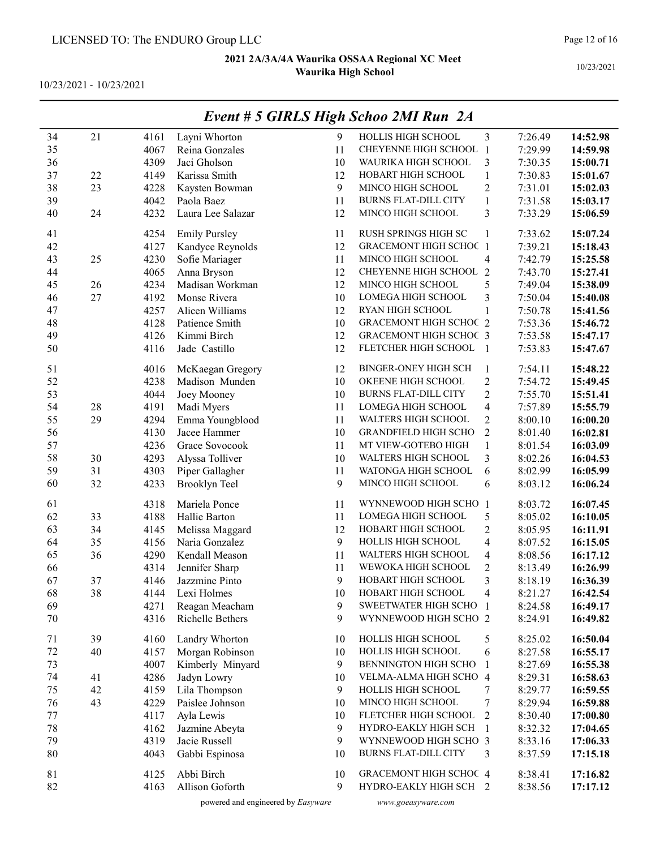10/23/2021 - 10/23/2021

|    |    |      |                      |    | Event # 5 GIRLS High Schoo 2MI Run 2A |                          |         |          |
|----|----|------|----------------------|----|---------------------------------------|--------------------------|---------|----------|
| 34 | 21 | 4161 | Layni Whorton        | 9  | HOLLIS HIGH SCHOOL                    | 3                        | 7:26.49 | 14:52.98 |
| 35 |    | 4067 | Reina Gonzales       | 11 | CHEYENNE HIGH SCHOOL 1                |                          | 7:29.99 | 14:59.98 |
| 36 |    | 4309 | Jaci Gholson         | 10 | WAURIKA HIGH SCHOOL                   | 3                        | 7:30.35 | 15:00.71 |
| 37 | 22 | 4149 | Karissa Smith        | 12 | HOBART HIGH SCHOOL                    | $\,1$                    | 7:30.83 | 15:01.67 |
| 38 | 23 | 4228 | Kaysten Bowman       | 9  | MINCO HIGH SCHOOL                     | $\overline{c}$           | 7:31.01 | 15:02.03 |
| 39 |    | 4042 | Paola Baez           | 11 | <b>BURNS FLAT-DILL CITY</b>           | $\mathbf{1}$             | 7:31.58 | 15:03.17 |
| 40 | 24 | 4232 | Laura Lee Salazar    | 12 | MINCO HIGH SCHOOL                     | 3                        | 7:33.29 | 15:06.59 |
|    |    |      |                      |    |                                       |                          |         |          |
| 41 |    | 4254 | <b>Emily Pursley</b> | 11 | RUSH SPRINGS HIGH SC                  | 1                        | 7:33.62 | 15:07.24 |
| 42 |    | 4127 | Kandyce Reynolds     | 12 | <b>GRACEMONT HIGH SCHOC 1</b>         |                          | 7:39.21 | 15:18.43 |
| 43 | 25 | 4230 | Sofie Mariager       | 11 | MINCO HIGH SCHOOL                     | 4                        | 7:42.79 | 15:25.58 |
| 44 |    | 4065 | Anna Bryson          | 12 | CHEYENNE HIGH SCHOOL 2                |                          | 7:43.70 | 15:27.41 |
| 45 | 26 | 4234 | Madisan Workman      | 12 | MINCO HIGH SCHOOL                     | 5                        | 7:49.04 | 15:38.09 |
| 46 | 27 | 4192 | Monse Rivera         | 10 | LOMEGA HIGH SCHOOL                    | 3                        | 7:50.04 | 15:40.08 |
| 47 |    | 4257 | Alicen Williams      | 12 | RYAN HIGH SCHOOL                      | $\mathbf{1}$             | 7:50.78 | 15:41.56 |
| 48 |    | 4128 | Patience Smith       | 10 | <b>GRACEMONT HIGH SCHOC 2</b>         |                          | 7:53.36 | 15:46.72 |
| 49 |    | 4126 | Kimmi Birch          | 12 | <b>GRACEMONT HIGH SCHOC 3</b>         |                          | 7:53.58 | 15:47.17 |
| 50 |    | 4116 | Jade Castillo        | 12 | FLETCHER HIGH SCHOOL                  | $\overline{1}$           | 7:53.83 | 15:47.67 |
| 51 |    | 4016 | McKaegan Gregory     | 12 | <b>BINGER-ONEY HIGH SCH</b>           | 1                        | 7:54.11 | 15:48.22 |
| 52 |    | 4238 | Madison Munden       | 10 | OKEENE HIGH SCHOOL                    | $\overline{c}$           | 7:54.72 | 15:49.45 |
| 53 |    | 4044 | Joey Mooney          | 10 | <b>BURNS FLAT-DILL CITY</b>           | $\overline{c}$           | 7:55.70 | 15:51.41 |
| 54 | 28 | 4191 | Madi Myers           | 11 | LOMEGA HIGH SCHOOL                    | $\overline{\mathbf{4}}$  | 7:57.89 | 15:55.79 |
| 55 | 29 | 4294 | Emma Youngblood      | 11 | WALTERS HIGH SCHOOL                   | $\overline{c}$           | 8:00.10 | 16:00.20 |
| 56 |    | 4130 | Jacee Hammer         | 10 | <b>GRANDFIELD HIGH SCHO</b>           | $\mathbf{2}$             | 8:01.40 | 16:02.81 |
| 57 |    | 4236 | Grace Sovocook       | 11 | MT VIEW-GOTEBO HIGH                   | $\mathbf{1}$             | 8:01.54 | 16:03.09 |
| 58 | 30 | 4293 | Alyssa Tolliver      | 10 | WALTERS HIGH SCHOOL                   | 3                        | 8:02.26 | 16:04.53 |
| 59 | 31 | 4303 | Piper Gallagher      | 11 | WATONGA HIGH SCHOOL                   | 6                        | 8:02.99 | 16:05.99 |
| 60 | 32 | 4233 | Brooklyn Teel        | 9  | MINCO HIGH SCHOOL                     | 6                        | 8:03.12 | 16:06.24 |
|    |    |      |                      |    |                                       |                          |         |          |
| 61 |    | 4318 | Mariela Ponce        | 11 | WYNNEWOOD HIGH SCHO 1                 |                          | 8:03.72 | 16:07.45 |
| 62 | 33 | 4188 | Hallie Barton        | 11 | LOMEGA HIGH SCHOOL                    | 5                        | 8:05.02 | 16:10.05 |
| 63 | 34 | 4145 | Melissa Maggard      | 12 | HOBART HIGH SCHOOL                    | $\overline{c}$           | 8:05.95 | 16:11.91 |
| 64 | 35 | 4156 | Naria Gonzalez       | 9  | HOLLIS HIGH SCHOOL                    | $\overline{\mathbf{4}}$  | 8:07.52 | 16:15.05 |
| 65 | 36 | 4290 | Kendall Meason       | 11 | WALTERS HIGH SCHOOL                   | $\overline{\mathcal{A}}$ | 8:08.56 | 16:17.12 |
| 66 |    | 4314 | Jennifer Sharp       | 11 | WEWOKA HIGH SCHOOL                    | $\overline{c}$           | 8:13.49 | 16:26.99 |
| 67 | 37 | 4146 | Jazzmine Pinto       | 9  | HOBART HIGH SCHOOL                    | $\overline{\mathbf{3}}$  | 8:18.19 | 16:36.39 |
| 68 | 38 | 4144 | Lexi Holmes          | 10 | HOBART HIGH SCHOOL                    | 4                        | 8:21.27 | 16:42.54 |
| 69 |    | 4271 | Reagan Meacham       | 9  | SWEETWATER HIGH SCHO 1                |                          | 8:24.58 | 16:49.17 |
| 70 |    | 4316 | Richelle Bethers     | 9  | WYNNEWOOD HIGH SCHO 2                 |                          | 8:24.91 | 16:49.82 |
| 71 | 39 | 4160 | Landry Whorton       | 10 | HOLLIS HIGH SCHOOL                    | 5                        | 8:25.02 | 16:50.04 |
| 72 | 40 | 4157 | Morgan Robinson      | 10 | HOLLIS HIGH SCHOOL                    | 6                        | 8:27.58 | 16:55.17 |
| 73 |    | 4007 | Kimberly Minyard     | 9  | BENNINGTON HIGH SCHO                  | 1                        | 8:27.69 | 16:55.38 |
| 74 | 41 | 4286 | Jadyn Lowry          | 10 | VELMA-ALMA HIGH SCHO 4                |                          | 8:29.31 | 16:58.63 |
| 75 | 42 | 4159 | Lila Thompson        | 9  | HOLLIS HIGH SCHOOL                    | 7                        | 8:29.77 | 16:59.55 |
| 76 | 43 | 4229 | Paislee Johnson      | 10 | MINCO HIGH SCHOOL                     | 7                        | 8:29.94 | 16:59.88 |
| 77 |    | 4117 | Ayla Lewis           | 10 | FLETCHER HIGH SCHOOL                  | 2                        | 8:30.40 | 17:00.80 |
| 78 |    | 4162 | Jazmine Abeyta       | 9  | HYDRO-EAKLY HIGH SCH                  | $\overline{1}$           | 8:32.32 | 17:04.65 |
| 79 |    | 4319 | Jacie Russell        | 9  | WYNNEWOOD HIGH SCHO 3                 |                          | 8:33.16 | 17:06.33 |
| 80 |    | 4043 | Gabbi Espinosa       | 10 | <b>BURNS FLAT-DILL CITY</b>           | 3                        | 8:37.59 | 17:15.18 |
|    |    |      |                      |    |                                       |                          |         |          |
| 81 |    | 4125 | Abbi Birch           | 10 | <b>GRACEMONT HIGH SCHOC 4</b>         |                          | 8:38.41 | 17:16.82 |
| 82 |    | 4163 | Allison Goforth      | 9  | HYDRO-EAKLY HIGH SCH 2                |                          | 8:38.56 | 17:17.12 |

# Event # 5 GIRLS High Schoo 2MI Run 2A

powered and engineered by Easyware www.goeasyware.com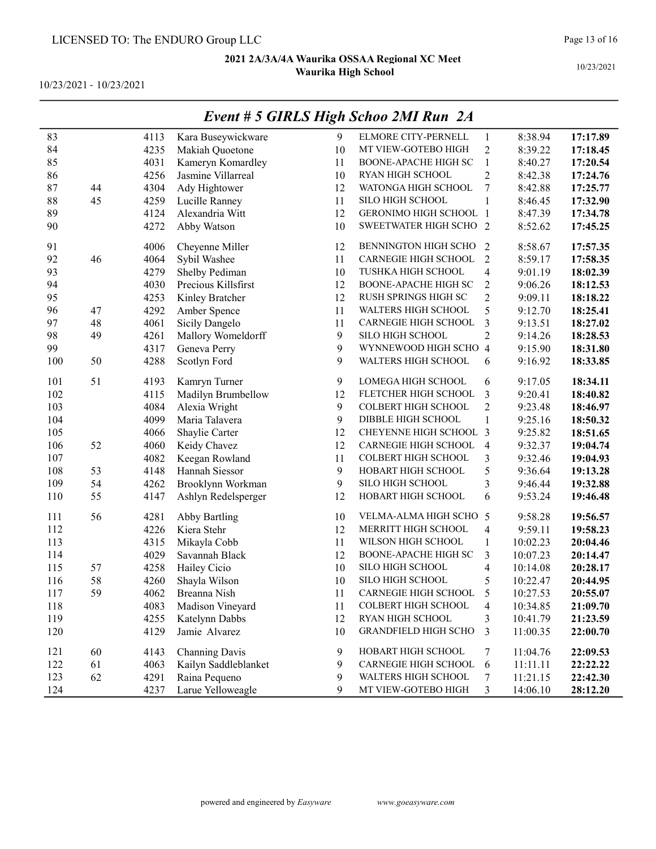10/23/2021 - 10/23/2021

|     |    |      |                      |    | $L$ veni $H$ $\theta$ OTKLS $H$ igh Schoo $2ML$ Kun $2A$ |                          |          |          |
|-----|----|------|----------------------|----|----------------------------------------------------------|--------------------------|----------|----------|
| 83  |    | 4113 | Kara Buseywickware   | 9  | ELMORE CITY-PERNELL                                      | $\mathbf{1}$             | 8:38.94  | 17:17.89 |
| 84  |    | 4235 | Makiah Quoetone      | 10 | MT VIEW-GOTEBO HIGH                                      | $\overline{2}$           | 8:39.22  | 17:18.45 |
| 85  |    | 4031 | Kameryn Komardley    | 11 | BOONE-APACHE HIGH SC                                     | $\mathbf{1}$             | 8:40.27  | 17:20.54 |
| 86  |    | 4256 | Jasmine Villarreal   | 10 | RYAN HIGH SCHOOL                                         | $\overline{2}$           | 8:42.38  | 17:24.76 |
| 87  | 44 | 4304 | Ady Hightower        | 12 | WATONGA HIGH SCHOOL                                      | 7                        | 8:42.88  | 17:25.77 |
| 88  | 45 | 4259 | Lucille Ranney       | 11 | SILO HIGH SCHOOL                                         | 1                        | 8:46.45  | 17:32.90 |
| 89  |    | 4124 | Alexandria Witt      | 12 | <b>GERONIMO HIGH SCHOOL 1</b>                            |                          | 8:47.39  | 17:34.78 |
| 90  |    | 4272 | Abby Watson          | 10 | SWEETWATER HIGH SCHO 2                                   |                          | 8:52.62  | 17:45.25 |
| 91  |    | 4006 | Cheyenne Miller      | 12 | BENNINGTON HIGH SCHO                                     | 2                        | 8:58.67  | 17:57.35 |
| 92  | 46 | 4064 | Sybil Washee         | 11 | CARNEGIE HIGH SCHOOL                                     | $\overline{2}$           | 8:59.17  | 17:58.35 |
| 93  |    | 4279 | Shelby Pediman       | 10 | TUSHKA HIGH SCHOOL                                       | 4                        | 9:01.19  | 18:02.39 |
| 94  |    | 4030 | Precious Killsfirst  | 12 | <b>BOONE-APACHE HIGH SC</b>                              | $\overline{c}$           | 9:06.26  | 18:12.53 |
| 95  |    | 4253 | Kinley Bratcher      | 12 | RUSH SPRINGS HIGH SC                                     | $\overline{c}$           | 9:09.11  | 18:18.22 |
| 96  | 47 | 4292 | Amber Spence         | 11 | WALTERS HIGH SCHOOL                                      | 5                        | 9:12.70  | 18:25.41 |
| 97  | 48 | 4061 | Sicily Dangelo       | 11 | CARNEGIE HIGH SCHOOL                                     | 3                        | 9:13.51  | 18:27.02 |
| 98  | 49 | 4261 | Mallory Womeldorff   | 9  | SILO HIGH SCHOOL                                         | $\overline{c}$           | 9:14.26  | 18:28.53 |
| 99  |    | 4317 | Geneva Perry         | 9  | WYNNEWOOD HIGH SCHO 4                                    |                          | 9:15.90  | 18:31.80 |
| 100 | 50 | 4288 | Scotlyn Ford         | 9  | WALTERS HIGH SCHOOL                                      | 6                        | 9:16.92  | 18:33.85 |
| 101 | 51 | 4193 | Kamryn Turner        | 9  | LOMEGA HIGH SCHOOL                                       | 6                        | 9:17.05  | 18:34.11 |
| 102 |    | 4115 | Madilyn Brumbellow   | 12 | FLETCHER HIGH SCHOOL                                     | 3                        | 9:20.41  | 18:40.82 |
| 103 |    | 4084 | Alexia Wright        | 9  | <b>COLBERT HIGH SCHOOL</b>                               | $\overline{c}$           | 9:23.48  | 18:46.97 |
| 104 |    | 4099 | Maria Talavera       | 9  | DIBBLE HIGH SCHOOL                                       | $\mathbf{1}$             | 9:25.16  | 18:50.32 |
| 105 |    | 4066 | Shaylie Carter       | 12 | CHEYENNE HIGH SCHOOL 3                                   |                          | 9:25.82  | 18:51.65 |
| 106 | 52 | 4060 | Keidy Chavez         | 12 | CARNEGIE HIGH SCHOOL                                     | $\overline{4}$           | 9:32.37  | 19:04.74 |
| 107 |    | 4082 | Keegan Rowland       | 11 | COLBERT HIGH SCHOOL                                      | 3                        | 9:32.46  | 19:04.93 |
| 108 | 53 | 4148 | Hannah Siessor       | 9  | HOBART HIGH SCHOOL                                       | 5                        | 9:36.64  | 19:13.28 |
| 109 | 54 | 4262 | Brooklynn Workman    | 9  | SILO HIGH SCHOOL                                         | 3                        | 9:46.44  | 19:32.88 |
| 110 | 55 | 4147 | Ashlyn Redelsperger  | 12 | HOBART HIGH SCHOOL                                       | 6                        | 9:53.24  | 19:46.48 |
| 111 | 56 | 4281 | <b>Abby Bartling</b> | 10 | VELMA-ALMA HIGH SCHO 5                                   |                          | 9:58.28  | 19:56.57 |
| 112 |    | 4226 | Kiera Stehr          | 12 | MERRITT HIGH SCHOOL                                      | 4                        | 9:59.11  | 19:58.23 |
| 113 |    | 4315 | Mikayla Cobb         | 11 | WILSON HIGH SCHOOL                                       | $\mathbf{1}$             | 10:02.23 | 20:04.46 |
| 114 |    | 4029 | Savannah Black       | 12 | <b>BOONE-APACHE HIGH SC</b>                              | 3                        | 10:07.23 | 20:14.47 |
| 115 | 57 | 4258 | Hailey Cicio         | 10 | SILO HIGH SCHOOL                                         | 4                        | 10:14.08 | 20:28.17 |
| 116 | 58 | 4260 | Shayla Wilson        | 10 | SILO HIGH SCHOOL                                         | 5                        | 10:22.47 | 20:44.95 |
| 117 | 59 | 4062 | Breanna Nish         | 11 | CARNEGIE HIGH SCHOOL                                     | 5                        | 10:27.53 | 20:55.07 |
| 118 |    | 4083 | Madison Vineyard     | 11 | <b>COLBERT HIGH SCHOOL</b>                               | $\overline{\mathcal{A}}$ | 10:34.85 | 21:09.70 |
| 119 |    | 4255 | Katelynn Dabbs       | 12 | RYAN HIGH SCHOOL                                         | 3                        | 10:41.79 | 21:23.59 |
| 120 |    | 4129 | Jamie Alvarez        | 10 | <b>GRANDFIELD HIGH SCHO</b>                              | 3                        | 11:00.35 | 22:00.70 |
| 121 | 60 | 4143 | Channing Davis       | 9  | HOBART HIGH SCHOOL                                       | 7                        | 11:04.76 | 22:09.53 |
| 122 | 61 | 4063 | Kailyn Saddleblanket | 9  | CARNEGIE HIGH SCHOOL                                     | 6                        | 11:11.11 | 22:22.22 |
| 123 | 62 | 4291 | Raina Pequeno        | 9  | WALTERS HIGH SCHOOL                                      | 7                        | 11:21.15 | 22:42.30 |
| 124 |    | 4237 | Larue Yelloweagle    | 9  | MT VIEW-GOTEBO HIGH                                      | 3                        | 14:06.10 | 28:12.20 |

### Event # 5 GIRLS High Schoo 2MI Run 2A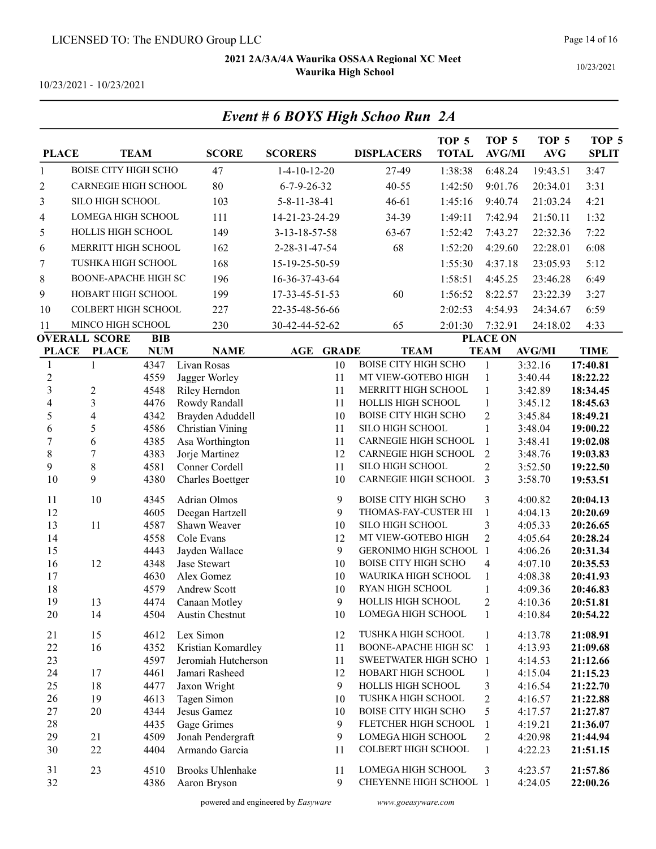Event # 6 BOYS High Schoo Run 2A

10/23/2021

| <b>PLACE</b>     |                                      | <b>TEAM</b>              | <b>SCORE</b>                  | <b>SCORERS</b>         |              | <b>DISPLACERS</b>                        | TOP <sub>5</sub><br><b>TOTAL</b> | TOP <sub>5</sub><br><b>AVG/MI</b> | TOP <sub>5</sub><br><b>AVG</b> | TOP <sub>5</sub><br><b>SPLIT</b> |
|------------------|--------------------------------------|--------------------------|-------------------------------|------------------------|--------------|------------------------------------------|----------------------------------|-----------------------------------|--------------------------------|----------------------------------|
| $\mathbf{1}$     | <b>BOISE CITY HIGH SCHO</b>          |                          | 47                            | $1-4-10-12-20$         |              | 27-49                                    | 1:38:38                          | 6:48.24                           | 19:43.51                       | 3:47                             |
| $\overline{2}$   | CARNEGIE HIGH SCHOOL                 |                          | 80                            | $6 - 7 - 9 - 26 - 32$  |              | 40-55                                    | 1:42:50                          | 9:01.76                           | 20:34.01                       | 3:31                             |
| 3                | SILO HIGH SCHOOL                     |                          | 103                           | $5 - 8 - 11 - 38 - 41$ |              | $46 - 61$                                | 1:45:16                          | 9:40.74                           | 21:03.24                       | 4:21                             |
| 4                | LOMEGA HIGH SCHOOL                   |                          | 111                           | 14-21-23-24-29         |              | 34-39                                    | 1:49:11                          | 7:42.94                           | 21:50.11                       | 1:32                             |
| 5                | HOLLIS HIGH SCHOOL                   |                          | 149                           | 3-13-18-57-58          |              | 63-67                                    | 1:52:42                          | 7:43.27                           | 22:32.36                       | 7:22                             |
| 6                | MERRITT HIGH SCHOOL                  |                          | 162                           | 2-28-31-47-54          |              | 68                                       | 1:52:20                          | 4:29.60                           | 22:28.01                       | 6:08                             |
| 7                | TUSHKA HIGH SCHOOL                   |                          | 168                           | 15-19-25-50-59         |              |                                          | 1:55:30                          | 4:37.18                           | 23:05.93                       | 5:12                             |
| 8                | <b>BOONE-APACHE HIGH SC</b>          |                          | 196                           | 16-36-37-43-64         |              |                                          | 1:58:51                          | 4:45.25                           | 23:46.28                       | 6:49                             |
| 9                | HOBART HIGH SCHOOL                   |                          | 199                           |                        |              | 60                                       | 1:56:52                          |                                   |                                | 3:27                             |
|                  |                                      |                          |                               | 17-33-45-51-53         |              |                                          |                                  | 8:22.57                           | 23:22.39                       |                                  |
| 10               | <b>COLBERT HIGH SCHOOL</b>           |                          | 227                           | 22-35-48-56-66         |              |                                          | 2:02:53                          | 4:54.93                           | 24:34.67                       | 6:59                             |
| 11               | MINCO HIGH SCHOOL                    |                          | 230                           | 30-42-44-52-62         |              | 65                                       | 2:01:30                          | 7:32.91                           | 24:18.02                       | 4:33                             |
| <b>PLACE</b>     | <b>OVERALL SCORE</b><br><b>PLACE</b> | <b>BIB</b><br><b>NUM</b> | <b>NAME</b>                   | AGE                    | <b>GRADE</b> | <b>TEAM</b>                              |                                  | <b>PLACE ON</b><br><b>TEAM</b>    | <b>AVG/MI</b>                  | <b>TIME</b>                      |
| 1                | 1                                    | 4347                     | Livan Rosas                   |                        | 10           | <b>BOISE CITY HIGH SCHO</b>              |                                  | $\mathbf{1}$                      | 3:32.16                        | 17:40.81                         |
| $\boldsymbol{2}$ |                                      | 4559                     | Jagger Worley                 |                        | 11           | MT VIEW-GOTEBO HIGH                      |                                  | $\mathbf{1}$                      | 3:40.44                        | 18:22.22                         |
| 3                | $\sqrt{2}$                           | 4548                     | Riley Herndon                 |                        | 11           | MERRITT HIGH SCHOOL                      |                                  | $\mathbf{1}$                      | 3:42.89                        | 18:34.45                         |
| $\overline{4}$   | 3                                    | 4476                     | Rowdy Randall                 |                        | 11           | HOLLIS HIGH SCHOOL                       |                                  | $\mathbf{1}$                      | 3:45.12                        | 18:45.63                         |
| 5                | 4                                    | 4342                     | Brayden Aduddell              |                        | 10           | <b>BOISE CITY HIGH SCHO</b>              |                                  | $\overline{2}$                    | 3:45.84                        | 18:49.21                         |
| 6                | 5                                    | 4586                     | Christian Vining              |                        | 11           | <b>SILO HIGH SCHOOL</b>                  |                                  | $\mathbf{1}$                      | 3:48.04                        | 19:00.22                         |
| $\sqrt{ }$       | 6                                    | 4385                     | Asa Worthington               |                        | 11           | <b>CARNEGIE HIGH SCHOOL</b>              |                                  | $\mathbf{1}$                      | 3:48.41                        | 19:02.08                         |
| 8                | 7                                    | 4383                     | Jorje Martinez                |                        | 12           | <b>CARNEGIE HIGH SCHOOL</b>              |                                  | $\overline{2}$                    | 3:48.76                        | 19:03.83                         |
| 9                | $\,8\,$                              | 4581                     | Conner Cordell                |                        | 11           | SILO HIGH SCHOOL                         |                                  | $\overline{2}$                    | 3:52.50                        | 19:22.50                         |
| 10               | 9                                    | 4380                     | Charles Boettger              |                        | 10           | <b>CARNEGIE HIGH SCHOOL</b>              |                                  | 3                                 | 3:58.70                        | 19:53.51                         |
| 11               | 10                                   | 4345                     | Adrian Olmos                  |                        | 9            | <b>BOISE CITY HIGH SCHO</b>              |                                  | 3                                 | 4:00.82                        | 20:04.13                         |
| 12               |                                      | 4605                     | Deegan Hartzell               |                        | 9            | THOMAS-FAY-CUSTER HI                     |                                  | $\mathbf{1}$                      | 4:04.13                        | 20:20.69                         |
| 13               | 11                                   | 4587                     | Shawn Weaver                  |                        | 10           | SILO HIGH SCHOOL                         |                                  | 3                                 | 4:05.33                        | 20:26.65                         |
| 14               |                                      | 4558                     | Cole Evans                    |                        | 12           | MT VIEW-GOTEBO HIGH                      |                                  | $\overline{2}$                    | 4:05.64                        | 20:28.24                         |
| 15               |                                      | 4443                     | Jayden Wallace                |                        | 9            | GERONIMO HIGH SCHOOL                     |                                  | $\overline{1}$                    | 4:06.26                        | 20:31.34                         |
| 16               | 12                                   | 4348                     | Jase Stewart                  |                        | 10           | <b>BOISE CITY HIGH SCHO</b>              |                                  | $\overline{\mathcal{A}}$          | 4:07.10                        | 20:35.53                         |
| 17               |                                      | 4630                     | Alex Gomez                    |                        | 10           | WAURIKA HIGH SCHOOL                      |                                  | $\mathbf{1}$                      | 4:08.38                        | 20:41.93                         |
| 18<br>19         | 13                                   | 4579<br>4474             | Andrew Scott<br>Canaan Motley |                        | 10<br>9      | RYAN HIGH SCHOOL<br>HOLLIS HIGH SCHOOL   |                                  | $\mathbf{1}$<br>$\overline{2}$    | 4:09.36<br>4:10.36             | 20:46.83<br>20:51.81             |
| 20               | 14                                   | 4504                     | Austin Chestnut               |                        | 10           | LOMEGA HIGH SCHOOL                       |                                  | 1                                 | 4:10.84                        | 20:54.22                         |
|                  |                                      |                          |                               |                        |              |                                          |                                  |                                   |                                |                                  |
| 21               | 15                                   | 4612                     | Lex Simon                     |                        | 12           | TUSHKA HIGH SCHOOL                       |                                  | $\mathbf{1}$                      | 4:13.78                        | 21:08.91                         |
| 22               | 16                                   | 4352                     | Kristian Komardley            |                        | 11           | <b>BOONE-APACHE HIGH SC</b>              |                                  | $\mathbf{1}$                      | 4:13.93                        | 21:09.68                         |
| 23               |                                      | 4597                     | Jeromiah Hutcherson           |                        | 11           | SWEETWATER HIGH SCHO                     |                                  | -1                                | 4:14.53                        | 21:12.66                         |
| 24               | 17                                   | 4461                     | Jamari Rasheed                |                        | 12           | HOBART HIGH SCHOOL<br>HOLLIS HIGH SCHOOL |                                  | 1                                 | 4:15.04                        | 21:15.23                         |
| 25<br>26         | 18<br>19                             | 4477<br>4613             | Jaxon Wright<br>Tagen Simon   |                        | 9<br>10      | TUSHKA HIGH SCHOOL                       |                                  | 3<br>$\overline{2}$               | 4:16.54<br>4:16.57             | 21:22.70<br>21:22.88             |
| 27               | 20                                   | 4344                     | Jesus Gamez                   |                        | 10           | <b>BOISE CITY HIGH SCHO</b>              |                                  | 5                                 | 4:17.57                        | 21:27.87                         |
| 28               |                                      | 4435                     | Gage Grimes                   |                        | 9            | FLETCHER HIGH SCHOOL                     |                                  | 1                                 | 4:19.21                        | 21:36.07                         |
| 29               | 21                                   | 4509                     | Jonah Pendergraft             |                        | 9            | LOMEGA HIGH SCHOOL                       |                                  | $\overline{2}$                    | 4:20.98                        | 21:44.94                         |
| 30               | 22                                   | 4404                     | Armando Garcia                |                        | 11           | <b>COLBERT HIGH SCHOOL</b>               |                                  | 1                                 | 4:22.23                        | 21:51.15                         |
| 31               | 23                                   | 4510                     | <b>Brooks Uhlenhake</b>       |                        | 11           | LOMEGA HIGH SCHOOL                       |                                  | 3                                 | 4:23.57                        | 21:57.86                         |
| 32               |                                      | 4386                     | Aaron Bryson                  |                        | 9            | CHEYENNE HIGH SCHOOL 1                   |                                  |                                   | 4:24.05                        | 22:00.26                         |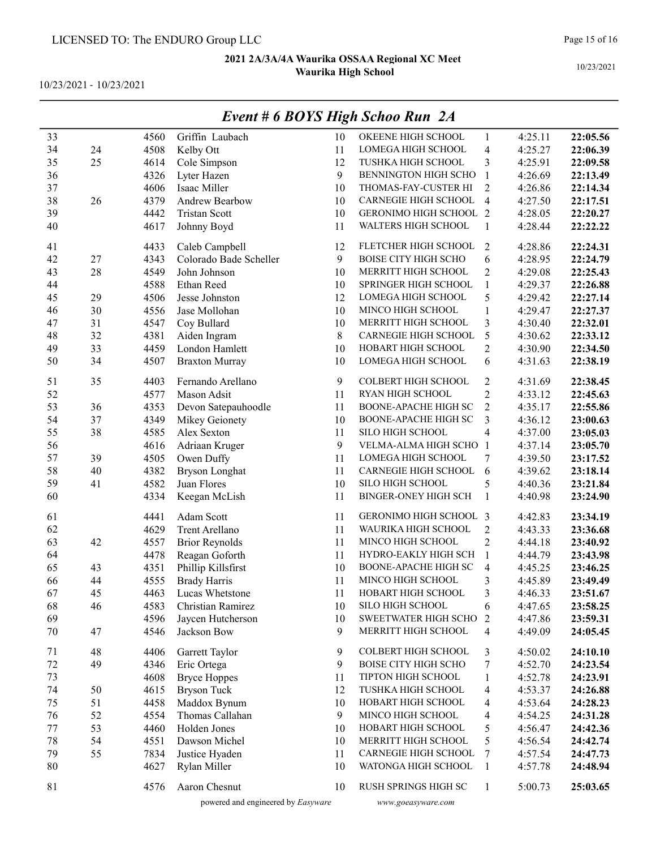10/23/2021 - 10/23/2021

|    |    |      |                        |    | $E$ veni # 0 DUTS High Schoo Kun $2A$ |                          |         |          |
|----|----|------|------------------------|----|---------------------------------------|--------------------------|---------|----------|
| 33 |    | 4560 | Griffin Laubach        | 10 | OKEENE HIGH SCHOOL                    | $\mathbf{1}$             | 4:25.11 | 22:05.56 |
| 34 | 24 | 4508 | Kelby Ott              | 11 | LOMEGA HIGH SCHOOL                    | $\overline{\mathbf{4}}$  | 4:25.27 | 22:06.39 |
| 35 | 25 | 4614 | Cole Simpson           | 12 | TUSHKA HIGH SCHOOL                    | 3                        | 4:25.91 | 22:09.58 |
| 36 |    | 4326 | Lyter Hazen            | 9  | BENNINGTON HIGH SCHO                  | $\mathbf{1}$             | 4:26.69 | 22:13.49 |
| 37 |    | 4606 | Isaac Miller           | 10 | THOMAS-FAY-CUSTER HI                  | $\overline{2}$           | 4:26.86 | 22:14.34 |
| 38 | 26 | 4379 | Andrew Bearbow         | 10 | CARNEGIE HIGH SCHOOL                  | $\overline{4}$           | 4:27.50 | 22:17.51 |
| 39 |    | 4442 | <b>Tristan Scott</b>   | 10 | GERONIMO HIGH SCHOOL 2                |                          | 4:28.05 | 22:20.27 |
| 40 |    | 4617 | Johnny Boyd            | 11 | WALTERS HIGH SCHOOL                   | 1                        | 4:28.44 | 22:22.22 |
| 41 |    | 4433 | Caleb Campbell         | 12 | FLETCHER HIGH SCHOOL                  | $\mathfrak{2}$           | 4:28.86 | 22:24.31 |
| 42 | 27 | 4343 | Colorado Bade Scheller | 9  | <b>BOISE CITY HIGH SCHO</b>           | 6                        | 4:28.95 | 22:24.79 |
| 43 | 28 | 4549 | John Johnson           | 10 | MERRITT HIGH SCHOOL                   | $\overline{c}$           | 4:29.08 | 22:25.43 |
| 44 |    | 4588 | Ethan Reed             | 10 | SPRINGER HIGH SCHOOL                  | $\mathbf{1}$             | 4:29.37 | 22:26.88 |
| 45 | 29 | 4506 | Jesse Johnston         | 12 | LOMEGA HIGH SCHOOL                    | 5                        | 4:29.42 | 22:27.14 |
| 46 | 30 | 4556 | Jase Mollohan          | 10 | MINCO HIGH SCHOOL                     | 1                        | 4:29.47 | 22:27.37 |
| 47 | 31 | 4547 | Coy Bullard            | 10 | MERRITT HIGH SCHOOL                   | 3                        | 4:30.40 | 22:32.01 |
| 48 | 32 | 4381 | Aiden Ingram           | 8  | CARNEGIE HIGH SCHOOL                  | 5                        | 4:30.62 | 22:33.12 |
| 49 | 33 | 4459 | London Hamlett         | 10 | HOBART HIGH SCHOOL                    | $\overline{c}$           | 4:30.90 | 22:34.50 |
| 50 | 34 | 4507 | <b>Braxton Murray</b>  | 10 | LOMEGA HIGH SCHOOL                    | 6                        | 4:31.63 | 22:38.19 |
| 51 | 35 | 4403 | Fernando Arellano      | 9  | COLBERT HIGH SCHOOL                   | $\mathfrak{2}$           | 4:31.69 | 22:38.45 |
| 52 |    | 4577 | Mason Adsit            | 11 | RYAN HIGH SCHOOL                      | $\overline{c}$           | 4:33.12 | 22:45.63 |
| 53 | 36 | 4353 | Devon Satepauhoodle    | 11 | <b>BOONE-APACHE HIGH SC</b>           | $\overline{2}$           | 4:35.17 | 22:55.86 |
| 54 | 37 | 4349 | Mikey Geionety         | 10 | <b>BOONE-APACHE HIGH SC</b>           | 3                        | 4:36.12 | 23:00.63 |
| 55 | 38 | 4585 | Alex Sexton            | 11 | SILO HIGH SCHOOL                      | $\overline{\mathcal{A}}$ | 4:37.00 | 23:05.03 |
| 56 |    | 4616 | Adriaan Kruger         | 9  | VELMA-ALMA HIGH SCHO 1                |                          | 4:37.14 | 23:05.70 |
| 57 | 39 | 4505 | Owen Duffy             | 11 | LOMEGA HIGH SCHOOL                    | 7                        | 4:39.50 | 23:17.52 |
| 58 | 40 | 4382 | <b>Bryson Longhat</b>  | 11 | CARNEGIE HIGH SCHOOL                  | 6                        | 4:39.62 | 23:18.14 |
| 59 | 41 | 4582 | Juan Flores            | 10 | SILO HIGH SCHOOL                      | 5                        | 4:40.36 | 23:21.84 |
| 60 |    | 4334 | Keegan McLish          | 11 | <b>BINGER-ONEY HIGH SCH</b>           | 1                        | 4:40.98 | 23:24.90 |
| 61 |    | 4441 | Adam Scott             | 11 | GERONIMO HIGH SCHOOL 3                |                          | 4:42.83 | 23:34.19 |
| 62 |    | 4629 | Trent Arellano         | 11 | WAURIKA HIGH SCHOOL                   | $\overline{c}$           | 4:43.33 | 23:36.68 |
| 63 | 42 | 4557 | <b>Brior Reynolds</b>  | 11 | MINCO HIGH SCHOOL                     | $\overline{c}$           | 4:44.18 | 23:40.92 |
| 64 |    | 4478 | Reagan Goforth         | 11 | HYDRO-EAKLY HIGH SCH                  | $\mathbf{1}$             | 4:44.79 | 23:43.98 |
| 65 | 43 | 4351 | Phillip Killsfirst     | 10 | BOONE-APACHE HIGH SC                  | $\overline{4}$           | 4:45.25 | 23:46.25 |
| 66 | 44 | 4555 | <b>Brady Harris</b>    | 11 | MINCO HIGH SCHOOL                     | 3                        | 4:45.89 | 23:49.49 |
| 67 | 45 | 4463 | Lucas Whetstone        | 11 | HOBART HIGH SCHOOL                    | 3                        | 4:46.33 | 23:51.67 |
| 68 | 46 | 4583 | Christian Ramirez      | 10 | SILO HIGH SCHOOL                      | 6                        | 4:47.65 | 23:58.25 |
| 69 |    | 4596 | Jaycen Hutcherson      | 10 | SWEETWATER HIGH SCHO                  | 2                        | 4:47.86 | 23:59.31 |
| 70 | 47 | 4546 | Jackson Bow            | 9  | MERRITT HIGH SCHOOL                   | $\overline{\mathcal{A}}$ | 4:49.09 | 24:05.45 |
| 71 | 48 | 4406 | Garrett Taylor         | 9  | COLBERT HIGH SCHOOL                   | 3                        | 4:50.02 | 24:10.10 |
| 72 | 49 | 4346 | Eric Ortega            | 9  | <b>BOISE CITY HIGH SCHO</b>           | $\boldsymbol{7}$         | 4:52.70 | 24:23.54 |
| 73 |    | 4608 | <b>Bryce Hoppes</b>    | 11 | TIPTON HIGH SCHOOL                    | 1                        | 4:52.78 | 24:23.91 |
| 74 | 50 | 4615 | <b>Bryson Tuck</b>     | 12 | TUSHKA HIGH SCHOOL                    | 4                        | 4:53.37 | 24:26.88 |
| 75 | 51 | 4458 | Maddox Bynum           | 10 | HOBART HIGH SCHOOL                    | $\overline{\mathcal{A}}$ | 4:53.64 | 24:28.23 |
| 76 | 52 | 4554 | Thomas Callahan        | 9  | MINCO HIGH SCHOOL                     | 4                        | 4:54.25 | 24:31.28 |
| 77 | 53 | 4460 | Holden Jones           | 10 | HOBART HIGH SCHOOL                    | 5                        | 4:56.47 | 24:42.36 |
| 78 | 54 | 4551 | Dawson Michel          | 10 | MERRITT HIGH SCHOOL                   | 5                        | 4:56.54 | 24:42.74 |
| 79 | 55 | 7834 | Justice Hyaden         | 11 | CARNEGIE HIGH SCHOOL                  | 7                        | 4:57.54 | 24:47.73 |
| 80 |    | 4627 | Rylan Miller           | 10 | WATONGA HIGH SCHOOL                   | $\mathbf{1}$             | 4:57.78 | 24:48.94 |
| 81 |    | 4576 | Aaron Chesnut          | 10 | RUSH SPRINGS HIGH SC                  | $\mathbf{1}$             | 5:00.73 | 25:03.65 |

# Event # 6 BOYS High Schoo Run 2A

powered and engineered by Easyware www.goeasyware.com

Page 15 of 16